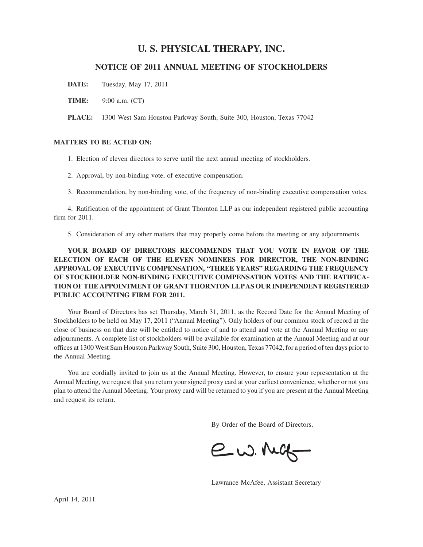# **U. S. PHYSICAL THERAPY, INC.**

## **NOTICE OF 2011 ANNUAL MEETING OF STOCKHOLDERS**

**DATE:** Tuesday, May 17, 2011

**TIME:** 9:00 a.m. (CT)

**PLACE:** 1300 West Sam Houston Parkway South, Suite 300, Houston, Texas 77042

## **MATTERS TO BE ACTED ON:**

1. Election of eleven directors to serve until the next annual meeting of stockholders.

- 2. Approval, by non-binding vote, of executive compensation.
- 3. Recommendation, by non-binding vote, of the frequency of non-binding executive compensation votes.

4. Ratification of the appointment of Grant Thornton LLP as our independent registered public accounting firm for 2011.

5. Consideration of any other matters that may properly come before the meeting or any adjournments.

**YOUR BOARD OF DIRECTORS RECOMMENDS THAT YOU VOTE IN FAVOR OF THE ELECTION OF EACH OF THE ELEVEN NOMINEES FOR DIRECTOR, THE NON-BINDING APPROVAL OF EXECUTIVE COMPENSATION, "THREE YEARS" REGARDING THE FREQUENCY OF STOCKHOLDER NON-BINDING EXECUTIVE COMPENSATION VOTES AND THE RATIFICA-TION OF THE APPOINTMENT OF GRANT THORNTON LLPAS OUR INDEPENDENT REGISTERED PUBLIC ACCOUNTING FIRM FOR 2011.**

Your Board of Directors has set Thursday, March 31, 2011, as the Record Date for the Annual Meeting of Stockholders to be held on May 17, 2011 ("Annual Meeting"). Only holders of our common stock of record at the close of business on that date will be entitled to notice of and to attend and vote at the Annual Meeting or any adjournments. A complete list of stockholders will be available for examination at the Annual Meeting and at our offices at 1300 West Sam Houston Parkway South, Suite 300, Houston, Texas 77042, for a period of ten days prior to the Annual Meeting.

You are cordially invited to join us at the Annual Meeting. However, to ensure your representation at the Annual Meeting, we request that you return your signed proxy card at your earliest convenience, whether or not you plan to attend the Annual Meeting. Your proxy card will be returned to you if you are present at the Annual Meeting and request its return.

By Order of the Board of Directors,

 $ew.MG$ 

Lawrance McAfee, Assistant Secretary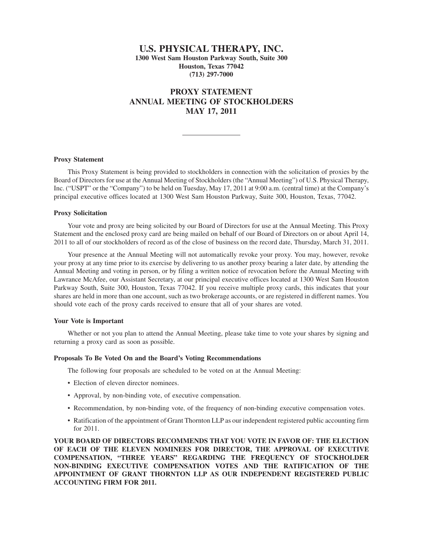## **U.S. PHYSICAL THERAPY, INC. 1300 West Sam Houston Parkway South, Suite 300 Houston, Texas 77042 (713) 297-7000**

# **PROXY STATEMENT ANNUAL MEETING OF STOCKHOLDERS MAY 17, 2011**

## **Proxy Statement**

This Proxy Statement is being provided to stockholders in connection with the solicitation of proxies by the Board of Directors for use at the Annual Meeting of Stockholders (the "Annual Meeting") of U.S. Physical Therapy, Inc. ("USPT" or the "Company") to be held on Tuesday, May 17, 2011 at 9:00 a.m. (central time) at the Company's principal executive offices located at 1300 West Sam Houston Parkway, Suite 300, Houston, Texas, 77042.

## **Proxy Solicitation**

Your vote and proxy are being solicited by our Board of Directors for use at the Annual Meeting. This Proxy Statement and the enclosed proxy card are being mailed on behalf of our Board of Directors on or about April 14, 2011 to all of our stockholders of record as of the close of business on the record date, Thursday, March 31, 2011.

Your presence at the Annual Meeting will not automatically revoke your proxy. You may, however, revoke your proxy at any time prior to its exercise by delivering to us another proxy bearing a later date, by attending the Annual Meeting and voting in person, or by filing a written notice of revocation before the Annual Meeting with Lawrance McAfee, our Assistant Secretary, at our principal executive offices located at 1300 West Sam Houston Parkway South, Suite 300, Houston, Texas 77042. If you receive multiple proxy cards, this indicates that your shares are held in more than one account, such as two brokerage accounts, or are registered in different names. You should vote each of the proxy cards received to ensure that all of your shares are voted.

## **Your Vote is Important**

Whether or not you plan to attend the Annual Meeting, please take time to vote your shares by signing and returning a proxy card as soon as possible.

## **Proposals To Be Voted On and the Board's Voting Recommendations**

The following four proposals are scheduled to be voted on at the Annual Meeting:

- Election of eleven director nominees.
- Approval, by non-binding vote, of executive compensation.
- Recommendation, by non-binding vote, of the frequency of non-binding executive compensation votes.
- Ratification of the appointment of Grant Thornton LLP as our independent registered public accounting firm for 2011.

**YOUR BOARD OF DIRECTORS RECOMMENDS THAT YOU VOTE IN FAVOR OF: THE ELECTION OF EACH OF THE ELEVEN NOMINEES FOR DIRECTOR, THE APPROVAL OF EXECUTIVE COMPENSATION, "THREE YEARS" REGARDING THE FREQUENCY OF STOCKHOLDER NON-BINDING EXECUTIVE COMPENSATION VOTES AND THE RATIFICATION OF THE APPOINTMENT OF GRANT THORNTON LLP AS OUR INDEPENDENT REGISTERED PUBLIC ACCOUNTING FIRM FOR 2011.**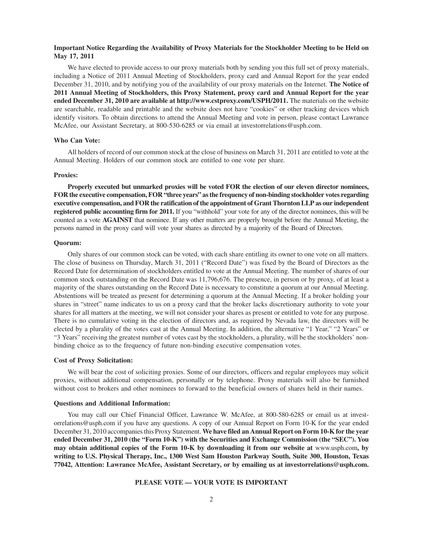## **Important Notice Regarding the Availability of Proxy Materials for the Stockholder Meeting to be Held on May 17, 2011**

We have elected to provide access to our proxy materials both by sending you this full set of proxy materials, including a Notice of 2011 Annual Meeting of Stockholders, proxy card and Annual Report for the year ended December 31, 2010, and by notifying you of the availability of our proxy materials on the Internet. **The Notice of 2011 Annual Meeting of Stockholders, this Proxy Statement, proxy card and Annual Report for the year ended December 31, 2010 are available at http://www.cstproxy.com/USPH/2011.** The materials on the website are searchable, readable and printable and the website does not have "cookies" or other tracking devices which identify visitors. To obtain directions to attend the Annual Meeting and vote in person, please contact Lawrance McAfee, our Assistant Secretary, at 800-530-6285 or via email at investorrelations@usph.com.

## **Who Can Vote:**

All holders of record of our common stock at the close of business on March 31, 2011 are entitled to vote at the Annual Meeting. Holders of our common stock are entitled to one vote per share.

## **Proxies:**

**Properly executed but unmarked proxies will be voted FOR the election of our eleven director nominees, FOR the executive compensation, FOR "three years" as the frequency of non-binding stockholder votes regarding executive compensation, and FOR the ratification of the appointment of Grant Thornton LLP as our independent registered public accounting firm for 2011.** If you "withhold" your vote for any of the director nominees, this will be counted as a vote **AGAINST** that nominee. If any other matters are properly brought before the Annual Meeting, the persons named in the proxy card will vote your shares as directed by a majority of the Board of Directors.

## **Quorum:**

Only shares of our common stock can be voted, with each share entitling its owner to one vote on all matters. The close of business on Thursday, March 31, 2011 ("Record Date") was fixed by the Board of Directors as the Record Date for determination of stockholders entitled to vote at the Annual Meeting. The number of shares of our common stock outstanding on the Record Date was 11,796,676. The presence, in person or by proxy, of at least a majority of the shares outstanding on the Record Date is necessary to constitute a quorum at our Annual Meeting. Abstentions will be treated as present for determining a quorum at the Annual Meeting. If a broker holding your shares in "street" name indicates to us on a proxy card that the broker lacks discretionary authority to vote your shares for all matters at the meeting, we will not consider your shares as present or entitled to vote for any purpose. There is no cumulative voting in the election of directors and, as required by Nevada law, the directors will be elected by a plurality of the votes cast at the Annual Meeting. In addition, the alternative "1 Year," "2 Years" or "3 Years" receiving the greatest number of votes cast by the stockholders, a plurality, will be the stockholders' nonbinding choice as to the frequency of future non-binding executive compensation votes.

## **Cost of Proxy Solicitation:**

We will bear the cost of soliciting proxies. Some of our directors, officers and regular employees may solicit proxies, without additional compensation, personally or by telephone. Proxy materials will also be furnished without cost to brokers and other nominees to forward to the beneficial owners of shares held in their names.

## **Questions and Additional Information:**

You may call our Chief Financial Officer, Lawrance W. McAfee, at 800-580-6285 or email us at investorrelations@usph.com if you have any questions. A copy of our Annual Report on Form 10-K for the year ended December 31, 2010 accompanies this Proxy Statement. **We have filed an Annual Report on Form 10-K for the year ended December 31, 2010 (the "Form 10-K") with the Securities and Exchange Commission (the "SEC"). You may obtain additional copies of the Form 10-K by downloading it from our website at** www.usph.com**, by writing to U.S. Physical Therapy, Inc., 1300 West Sam Houston Parkway South, Suite 300, Houston, Texas 77042, Attention: Lawrance McAfee, Assistant Secretary, or by emailing us at investorrelations@usph.com.**

## **PLEASE VOTE — YOUR VOTE IS IMPORTANT**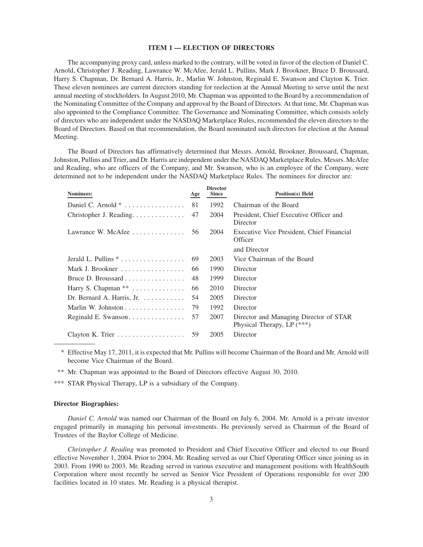## **ITEM 1 — ELECTION OF DIRECTORS**

The accompanying proxy card, unless marked to the contrary, will be voted in favor of the election of Daniel C. Arnold, Christopher J. Reading, Lawrance W. McAfee, Jerald L. Pullins, Mark J. Brookner, Bruce D. Broussard, Harry S. Chapman, Dr. Bernard A. Harris, Jr., Marlin W. Johnston, Reginald E. Swanson and Clayton K. Trier. These eleven nominees are current directors standing for reelection at the Annual Meeting to serve until the next annual meeting of stockholders. In August 2010, Mr. Chapman was appointed to the Board by a recommendation of the Nominating Committee of the Company and approval by the Board of Directors. At that time, Mr. Chapman was also appointed to the Compliance Committee. The Governance and Nominating Committee, which consists solely of directors who are independent under the NASDAQ Marketplace Rules, recommended the eleven directors to the Board of Directors. Based on that recommendation, the Board nominated such directors for election at the Annual Meeting.

The Board of Directors has affirmatively determined that Messrs. Arnold, Brookner, Broussard, Chapman, Johnston, Pullins and Trier, and Dr. Harris are independent under the NASDAQ Marketplace Rules. Messrs. McAfee and Reading, who are officers of the Company, and Mr. Swanson, who is an employee of the Company, were determined not to be independent under the NASDAQ Marketplace Rules. The nominees for director are:

| Nominees:                                      | Age | <b>Director</b><br><b>Since</b> | <b>Position(s)</b> Held                                              |
|------------------------------------------------|-----|---------------------------------|----------------------------------------------------------------------|
|                                                |     |                                 |                                                                      |
|                                                | 81  | 1992                            | Chairman of the Board                                                |
| Christopher J. Reading.                        | 47  | 2004                            | President, Chief Executive Officer and<br>Director                   |
| Lawrance W. McAfee                             | 56  | 2004                            | Executive Vice President, Chief Financial<br>Officer                 |
|                                                |     |                                 | and Director                                                         |
|                                                | 69  | 2003                            | Vice Chairman of the Board                                           |
| Mark J. Brookner                               | 66  | 1990                            | Director                                                             |
|                                                | 48  | 1999                            | Director                                                             |
| Harry S. Chapman **                            | 66  | 2010                            | Director                                                             |
| Dr. Bernard A. Harris, Jr. $\dots \dots \dots$ | 54  | 2005                            | Director                                                             |
| Marlin W. Johnston                             | 79  | 1992                            | Director                                                             |
|                                                | 57  | 2007                            | Director and Managing Director of STAR<br>Physical Therapy, LP (***) |
|                                                | 59  | 2005                            | Director                                                             |

\* Effective May 17, 2011, it is expected that Mr. Pullins will become Chairman of the Board and Mr. Arnold will become Vice Chairman of the Board.

\*\* Mr. Chapman was appointed to the Board of Directors effective August 30, 2010.

\*\*\* STAR Physical Therapy, LP is a subsidiary of the Company.

## **Director Biographies:**

*Daniel C. Arnold* was named our Chairman of the Board on July 6, 2004. Mr. Arnold is a private investor engaged primarily in managing his personal investments. He previously served as Chairman of the Board of Trustees of the Baylor College of Medicine.

*Christopher J. Reading* was promoted to President and Chief Executive Officer and elected to our Board effective November 1, 2004. Prior to 2004, Mr. Reading served as our Chief Operating Officer since joining us in 2003. From 1990 to 2003, Mr. Reading served in various executive and management positions with HealthSouth Corporation where most recently he served as Senior Vice President of Operations responsible for over 200 facilities located in 10 states. Mr. Reading is a physical therapist.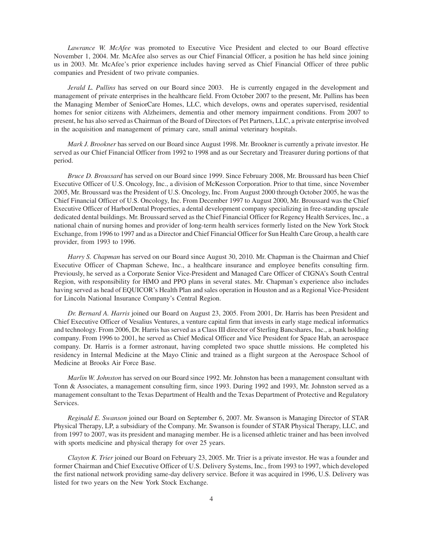*Lawrance W. McAfee* was promoted to Executive Vice President and elected to our Board effective November 1, 2004. Mr. McAfee also serves as our Chief Financial Officer, a position he has held since joining us in 2003. Mr. McAfee's prior experience includes having served as Chief Financial Officer of three public companies and President of two private companies.

*Jerald L. Pullins* has served on our Board since 2003. He is currently engaged in the development and management of private enterprises in the healthcare field. From October 2007 to the present, Mr. Pullins has been the Managing Member of SeniorCare Homes, LLC, which develops, owns and operates supervised, residential homes for senior citizens with Alzheimers, dementia and other memory impairment conditions. From 2007 to present, he has also served as Chairman of the Board of Directors of Pet Partners, LLC, a private enterprise involved in the acquisition and management of primary care, small animal veterinary hospitals.

*Mark J. Brookner* has served on our Board since August 1998. Mr. Brookner is currently a private investor. He served as our Chief Financial Officer from 1992 to 1998 and as our Secretary and Treasurer during portions of that period.

*Bruce D. Broussard* has served on our Board since 1999. Since February 2008, Mr. Broussard has been Chief Executive Officer of U.S. Oncology, Inc., a division of McKesson Corporation. Prior to that time, since November 2005, Mr. Broussard was the President of U.S. Oncology, Inc. From August 2000 through October 2005, he was the Chief Financial Officer of U.S. Oncology, Inc. From December 1997 to August 2000, Mr. Broussard was the Chief Executive Officer of HarborDental Properties, a dental development company specializing in free-standing upscale dedicated dental buildings. Mr. Broussard served as the Chief Financial Officer for Regency Health Services, Inc., a national chain of nursing homes and provider of long-term health services formerly listed on the New York Stock Exchange, from 1996 to 1997 and as a Director and Chief Financial Officer for Sun Health Care Group, a health care provider, from 1993 to 1996.

*Harry S. Chapman* has served on our Board since August 30, 2010. Mr. Chapman is the Chairman and Chief Executive Officer of Chapman Schewe, Inc., a healthcare insurance and employee benefits consulting firm. Previously, he served as a Corporate Senior Vice-President and Managed Care Officer of CIGNA's South Central Region, with responsibility for HMO and PPO plans in several states. Mr. Chapman's experience also includes having served as head of EQUICOR's Health Plan and sales operation in Houston and as a Regional Vice-President for Lincoln National Insurance Company's Central Region.

*Dr. Bernard A. Harris* joined our Board on August 23, 2005. From 2001, Dr. Harris has been President and Chief Executive Officer of Vesalius Ventures, a venture capital firm that invests in early stage medical informatics and technology. From 2006, Dr. Harris has served as a Class III director of Sterling Bancshares, Inc., a bank holding company. From 1996 to 2001, he served as Chief Medical Officer and Vice President for Space Hab, an aerospace company. Dr. Harris is a former astronaut, having completed two space shuttle missions. He completed his residency in Internal Medicine at the Mayo Clinic and trained as a flight surgeon at the Aerospace School of Medicine at Brooks Air Force Base.

*Marlin W. Johnston* has served on our Board since 1992. Mr. Johnston has been a management consultant with Tonn & Associates, a management consulting firm, since 1993. During 1992 and 1993, Mr. Johnston served as a management consultant to the Texas Department of Health and the Texas Department of Protective and Regulatory Services.

*Reginald E. Swanson* joined our Board on September 6, 2007. Mr. Swanson is Managing Director of STAR Physical Therapy, LP, a subsidiary of the Company. Mr. Swanson is founder of STAR Physical Therapy, LLC, and from 1997 to 2007, was its president and managing member. He is a licensed athletic trainer and has been involved with sports medicine and physical therapy for over 25 years.

*Clayton K. Trier* joined our Board on February 23, 2005. Mr. Trier is a private investor. He was a founder and former Chairman and Chief Executive Officer of U.S. Delivery Systems, Inc., from 1993 to 1997, which developed the first national network providing same-day delivery service. Before it was acquired in 1996, U.S. Delivery was listed for two years on the New York Stock Exchange.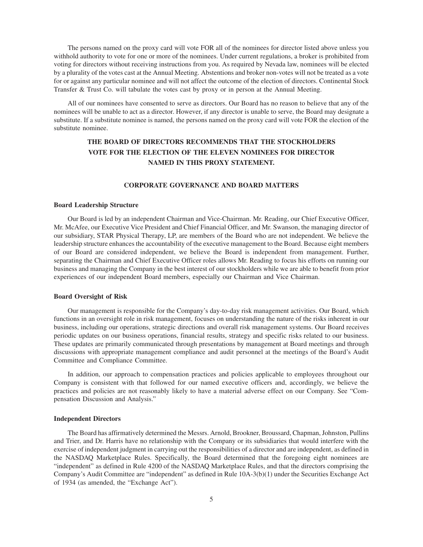The persons named on the proxy card will vote FOR all of the nominees for director listed above unless you withhold authority to vote for one or more of the nominees. Under current regulations, a broker is prohibited from voting for directors without receiving instructions from you. As required by Nevada law, nominees will be elected by a plurality of the votes cast at the Annual Meeting. Abstentions and broker non-votes will not be treated as a vote for or against any particular nominee and will not affect the outcome of the election of directors. Continental Stock Transfer & Trust Co. will tabulate the votes cast by proxy or in person at the Annual Meeting.

All of our nominees have consented to serve as directors. Our Board has no reason to believe that any of the nominees will be unable to act as a director. However, if any director is unable to serve, the Board may designate a substitute. If a substitute nominee is named, the persons named on the proxy card will vote FOR the election of the substitute nominee.

# **THE BOARD OF DIRECTORS RECOMMENDS THAT THE STOCKHOLDERS VOTE FOR THE ELECTION OF THE ELEVEN NOMINEES FOR DIRECTOR NAMED IN THIS PROXY STATEMENT.**

## **CORPORATE GOVERNANCE AND BOARD MATTERS**

## **Board Leadership Structure**

Our Board is led by an independent Chairman and Vice-Chairman. Mr. Reading, our Chief Executive Officer, Mr. McAfee, our Executive Vice President and Chief Financial Officer, and Mr. Swanson, the managing director of our subsidiary, STAR Physical Therapy, LP, are members of the Board who are not independent. We believe the leadership structure enhances the accountability of the executive management to the Board. Because eight members of our Board are considered independent, we believe the Board is independent from management. Further, separating the Chairman and Chief Executive Officer roles allows Mr. Reading to focus his efforts on running our business and managing the Company in the best interest of our stockholders while we are able to benefit from prior experiences of our independent Board members, especially our Chairman and Vice Chairman.

## **Board Oversight of Risk**

Our management is responsible for the Company's day-to-day risk management activities. Our Board, which functions in an oversight role in risk management, focuses on understanding the nature of the risks inherent in our business, including our operations, strategic directions and overall risk management systems. Our Board receives periodic updates on our business operations, financial results, strategy and specific risks related to our business. These updates are primarily communicated through presentations by management at Board meetings and through discussions with appropriate management compliance and audit personnel at the meetings of the Board's Audit Committee and Compliance Committee.

In addition, our approach to compensation practices and policies applicable to employees throughout our Company is consistent with that followed for our named executive officers and, accordingly, we believe the practices and policies are not reasonably likely to have a material adverse effect on our Company. See "Compensation Discussion and Analysis."

#### **Independent Directors**

The Board has affirmatively determined the Messrs. Arnold, Brookner, Broussard, Chapman, Johnston, Pullins and Trier, and Dr. Harris have no relationship with the Company or its subsidiaries that would interfere with the exercise of independent judgment in carrying out the responsibilities of a director and are independent, as defined in the NASDAQ Marketplace Rules. Specifically, the Board determined that the foregoing eight nominees are "independent" as defined in Rule 4200 of the NASDAQ Marketplace Rules, and that the directors comprising the Company's Audit Committee are "independent" as defined in Rule 10A-3(b)(1) under the Securities Exchange Act of 1934 (as amended, the "Exchange Act").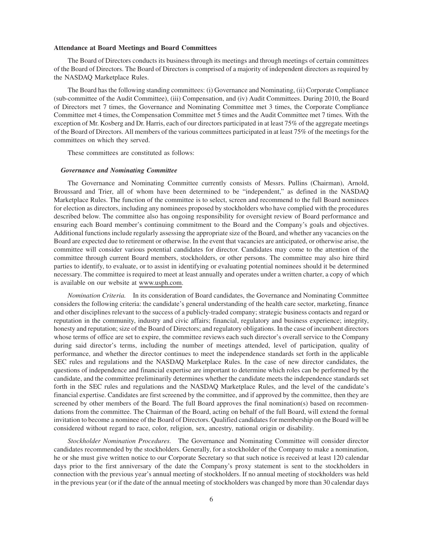#### **Attendance at Board Meetings and Board Committees**

The Board of Directors conducts its business through its meetings and through meetings of certain committees of the Board of Directors. The Board of Directors is comprised of a majority of independent directors as required by the NASDAQ Marketplace Rules.

The Board has the following standing committees: (i) Governance and Nominating, (ii) Corporate Compliance (sub-committee of the Audit Committee), (iii) Compensation, and (iv) Audit Committees. During 2010, the Board of Directors met 7 times, the Governance and Nominating Committee met 3 times, the Corporate Compliance Committee met 4 times, the Compensation Committee met 5 times and the Audit Committee met 7 times. With the exception of Mr. Kosberg and Dr. Harris, each of our directors participated in at least 75% of the aggregate meetings of the Board of Directors. All members of the various committees participated in at least 75% of the meetings for the committees on which they served.

These committees are constituted as follows:

## *Governance and Nominating Committee*

The Governance and Nominating Committee currently consists of Messrs. Pullins (Chairman), Arnold, Broussard and Trier, all of whom have been determined to be "independent," as defined in the NASDAQ Marketplace Rules. The function of the committee is to select, screen and recommend to the full Board nominees for election as directors, including any nominees proposed by stockholders who have complied with the procedures described below. The committee also has ongoing responsibility for oversight review of Board performance and ensuring each Board member's continuing commitment to the Board and the Company's goals and objectives. Additional functions include regularly assessing the appropriate size of the Board, and whether any vacancies on the Board are expected due to retirement or otherwise. In the event that vacancies are anticipated, or otherwise arise, the committee will consider various potential candidates for director. Candidates may come to the attention of the committee through current Board members, stockholders, or other persons. The committee may also hire third parties to identify, to evaluate, or to assist in identifying or evaluating potential nominees should it be determined necessary. The committee is required to meet at least annually and operates under a written charter, a copy of which is available on our website at www.usph.com.

*Nomination Criteria.* In its consideration of Board candidates, the Governance and Nominating Committee considers the following criteria: the candidate's general understanding of the health care sector, marketing, finance and other disciplines relevant to the success of a publicly-traded company; strategic business contacts and regard or reputation in the community, industry and civic affairs; financial, regulatory and business experience; integrity, honesty and reputation; size of the Board of Directors; and regulatory obligations. In the case of incumbent directors whose terms of office are set to expire, the committee reviews each such director's overall service to the Company during said director's terms, including the number of meetings attended, level of participation, quality of performance, and whether the director continues to meet the independence standards set forth in the applicable SEC rules and regulations and the NASDAQ Marketplace Rules. In the case of new director candidates, the questions of independence and financial expertise are important to determine which roles can be performed by the candidate, and the committee preliminarily determines whether the candidate meets the independence standards set forth in the SEC rules and regulations and the NASDAQ Marketplace Rules, and the level of the candidate's financial expertise. Candidates are first screened by the committee, and if approved by the committee, then they are screened by other members of the Board. The full Board approves the final nomination(s) based on recommendations from the committee. The Chairman of the Board, acting on behalf of the full Board, will extend the formal invitation to become a nominee of the Board of Directors. Qualified candidates for membership on the Board will be considered without regard to race, color, religion, sex, ancestry, national origin or disability.

*Stockholder Nomination Procedures.* The Governance and Nominating Committee will consider director candidates recommended by the stockholders. Generally, for a stockholder of the Company to make a nomination, he or she must give written notice to our Corporate Secretary so that such notice is received at least 120 calendar days prior to the first anniversary of the date the Company's proxy statement is sent to the stockholders in connection with the previous year's annual meeting of stockholders. If no annual meeting of stockholders was held in the previous year (or if the date of the annual meeting of stockholders was changed by more than 30 calendar days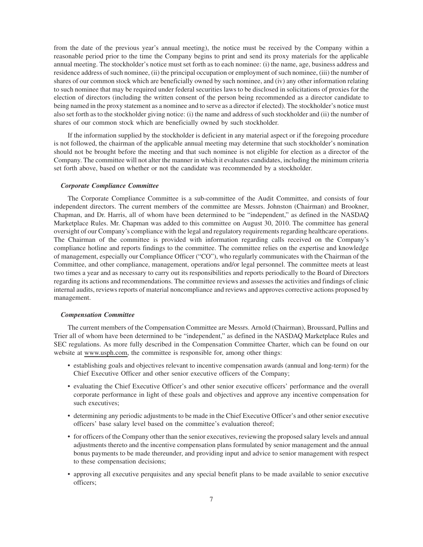from the date of the previous year's annual meeting), the notice must be received by the Company within a reasonable period prior to the time the Company begins to print and send its proxy materials for the applicable annual meeting. The stockholder's notice must set forth as to each nominee: (i) the name, age, business address and residence address of such nominee, (ii) the principal occupation or employment of such nominee, (iii) the number of shares of our common stock which are beneficially owned by such nominee, and (iv) any other information relating to such nominee that may be required under federal securities laws to be disclosed in solicitations of proxies for the election of directors (including the written consent of the person being recommended as a director candidate to being named in the proxy statement as a nominee and to serve as a director if elected). The stockholder's notice must also set forth as to the stockholder giving notice: (i) the name and address of such stockholder and (ii) the number of shares of our common stock which are beneficially owned by such stockholder.

If the information supplied by the stockholder is deficient in any material aspect or if the foregoing procedure is not followed, the chairman of the applicable annual meeting may determine that such stockholder's nomination should not be brought before the meeting and that such nominee is not eligible for election as a director of the Company. The committee will not alter the manner in which it evaluates candidates, including the minimum criteria set forth above, based on whether or not the candidate was recommended by a stockholder.

## *Corporate Compliance Committee*

The Corporate Compliance Committee is a sub-committee of the Audit Committee, and consists of four independent directors. The current members of the committee are Messrs. Johnston (Chairman) and Brookner, Chapman, and Dr. Harris, all of whom have been determined to be "independent," as defined in the NASDAQ Marketplace Rules. Mr. Chapman was added to this committee on August 30, 2010. The committee has general oversight of our Company's compliance with the legal and regulatory requirements regarding healthcare operations. The Chairman of the committee is provided with information regarding calls received on the Company's compliance hotline and reports findings to the committee. The committee relies on the expertise and knowledge of management, especially our Compliance Officer ("CO"), who regularly communicates with the Chairman of the Committee, and other compliance, management, operations and/or legal personnel. The committee meets at least two times a year and as necessary to carry out its responsibilities and reports periodically to the Board of Directors regarding its actions and recommendations. The committee reviews and assesses the activities and findings of clinic internal audits, reviews reports of material noncompliance and reviews and approves corrective actions proposed by management.

## *Compensation Committee*

The current members of the Compensation Committee are Messrs. Arnold (Chairman), Broussard, Pullins and Trier all of whom have been determined to be "independent," as defined in the NASDAQ Marketplace Rules and SEC regulations. As more fully described in the Compensation Committee Charter, which can be found on our website at www.usph.com, the committee is responsible for, among other things:

- establishing goals and objectives relevant to incentive compensation awards (annual and long-term) for the Chief Executive Officer and other senior executive officers of the Company;
- evaluating the Chief Executive Officer's and other senior executive officers' performance and the overall corporate performance in light of these goals and objectives and approve any incentive compensation for such executives;
- determining any periodic adjustments to be made in the Chief Executive Officer's and other senior executive officers' base salary level based on the committee's evaluation thereof;
- for officers of the Company other than the senior executives, reviewing the proposed salary levels and annual adjustments thereto and the incentive compensation plans formulated by senior management and the annual bonus payments to be made thereunder, and providing input and advice to senior management with respect to these compensation decisions;
- approving all executive perquisites and any special benefit plans to be made available to senior executive officers;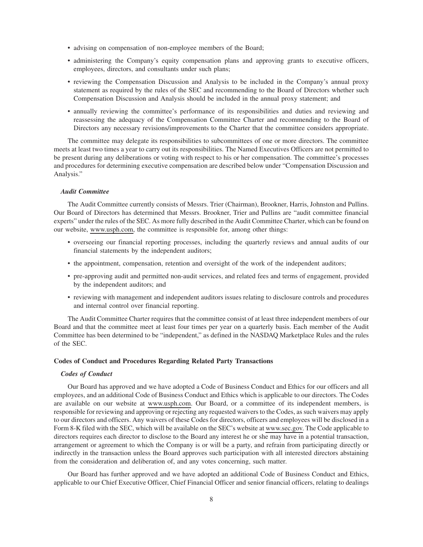- advising on compensation of non-employee members of the Board;
- administering the Company's equity compensation plans and approving grants to executive officers, employees, directors, and consultants under such plans;
- reviewing the Compensation Discussion and Analysis to be included in the Company's annual proxy statement as required by the rules of the SEC and recommending to the Board of Directors whether such Compensation Discussion and Analysis should be included in the annual proxy statement; and
- annually reviewing the committee's performance of its responsibilities and duties and reviewing and reassessing the adequacy of the Compensation Committee Charter and recommending to the Board of Directors any necessary revisions/improvements to the Charter that the committee considers appropriate.

The committee may delegate its responsibilities to subcommittees of one or more directors. The committee meets at least two times a year to carry out its responsibilities. The Named Executives Officers are not permitted to be present during any deliberations or voting with respect to his or her compensation. The committee's processes and procedures for determining executive compensation are described below under "Compensation Discussion and Analysis."

## *Audit Committee*

The Audit Committee currently consists of Messrs. Trier (Chairman), Brookner, Harris, Johnston and Pullins. Our Board of Directors has determined that Messrs. Brookner, Trier and Pullins are "audit committee financial experts" under the rules of the SEC. As more fully described in the Audit Committee Charter, which can be found on our website, www.usph.com, the committee is responsible for, among other things:

- overseeing our financial reporting processes, including the quarterly reviews and annual audits of our financial statements by the independent auditors;
- the appointment, compensation, retention and oversight of the work of the independent auditors;
- pre-approving audit and permitted non-audit services, and related fees and terms of engagement, provided by the independent auditors; and
- reviewing with management and independent auditors issues relating to disclosure controls and procedures and internal control over financial reporting.

The Audit Committee Charter requires that the committee consist of at least three independent members of our Board and that the committee meet at least four times per year on a quarterly basis. Each member of the Audit Committee has been determined to be "independent," as defined in the NASDAQ Marketplace Rules and the rules of the SEC.

## **Codes of Conduct and Procedures Regarding Related Party Transactions**

### *Codes of Conduct*

Our Board has approved and we have adopted a Code of Business Conduct and Ethics for our officers and all employees, and an additional Code of Business Conduct and Ethics which is applicable to our directors. The Codes are available on our website at www.usph.com. Our Board, or a committee of its independent members, is responsible for reviewing and approving or rejecting any requested waivers to the Codes, as such waivers may apply to our directors and officers. Any waivers of these Codes for directors, officers and employees will be disclosed in a Form 8-K filed with the SEC, which will be available on the SEC's website at www.sec.gov. The Code applicable to directors requires each director to disclose to the Board any interest he or she may have in a potential transaction, arrangement or agreement to which the Company is or will be a party, and refrain from participating directly or indirectly in the transaction unless the Board approves such participation with all interested directors abstaining from the consideration and deliberation of, and any votes concerning, such matter.

Our Board has further approved and we have adopted an additional Code of Business Conduct and Ethics, applicable to our Chief Executive Officer, Chief Financial Officer and senior financial officers, relating to dealings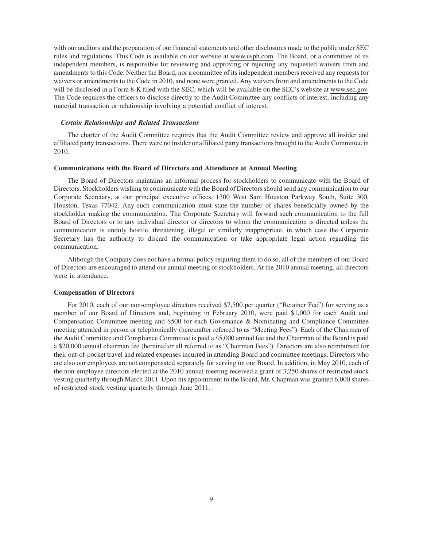with our auditors and the preparation of our financial statements and other disclosures made to the public under SEC rules and regulations. This Code is available on our website at www.usph.com. The Board, or a committee of its independent members, is responsible for reviewing and approving or rejecting any requested waivers from and amendments to this Code. Neither the Board, nor a committee of its independent members received any requests for waivers or amendments to the Code in 2010, and none were granted. Any waivers from and amendments to the Code will be disclosed in a Form 8-K filed with the SEC, which will be available on the SEC's website at www.sec.gov. The Code requires the officers to disclose directly to the Audit Committee any conflicts of interest, including any material transaction or relationship involving a potential conflict of interest.

## *Certain Relationships and Related Transactions*

The charter of the Audit Committee requires that the Audit Committee review and approve all insider and affiliated party transactions. There were no insider or affiliated party transactions brought to the Audit Committee in 2010.

## **Communications with the Board of Directors and Attendance at Annual Meeting**

The Board of Directors maintains an informal process for stockholders to communicate with the Board of Directors. Stockholders wishing to communicate with the Board of Directors should send any communication to our Corporate Secretary, at our principal executive offices, 1300 West Sam Houston Parkway South, Suite 300, Houston, Texas 77042. Any such communication must state the number of shares beneficially owned by the stockholder making the communication. The Corporate Secretary will forward such communication to the full Board of Directors or to any individual director or directors to whom the communication is directed unless the communication is unduly hostile, threatening, illegal or similarly inappropriate, in which case the Corporate Secretary has the authority to discard the communication or take appropriate legal action regarding the communication.

Although the Company does not have a formal policy requiring them to do so, all of the members of our Board of Directors are encouraged to attend our annual meeting of stockholders. At the 2010 annual meeting, all directors were in attendance.

## **Compensation of Directors**

For 2010, each of our non-employee directors received \$7,500 per quarter ("Retainer Fee") for serving as a member of our Board of Directors and, beginning in February 2010, were paid \$1,000 for each Audit and Compensation Committee meeting and \$500 for each Governance & Nominating and Compliance Committee meeting attended in person or telephonically (hereinafter referred to as "Meeting Fees"). Each of the Chairmen of the Audit Committee and Compliance Committee is paid a \$5,000 annual fee and the Chairman of the Board is paid a \$20,000 annual chairman fee (hereinafter all referred to as "Chairman Fees"). Directors are also reimbursed for their out-of-pocket travel and related expenses incurred in attending Board and committee meetings. Directors who are also our employees are not compensated separately for serving on our Board. In addition, in May 2010, each of the non-employee directors elected at the 2010 annual meeting received a grant of 3,250 shares of restricted stock vesting quarterly through March 2011. Upon his appointment to the Board, Mr. Chapman was granted 6,000 shares of restricted stock vesting quarterly through June 2011.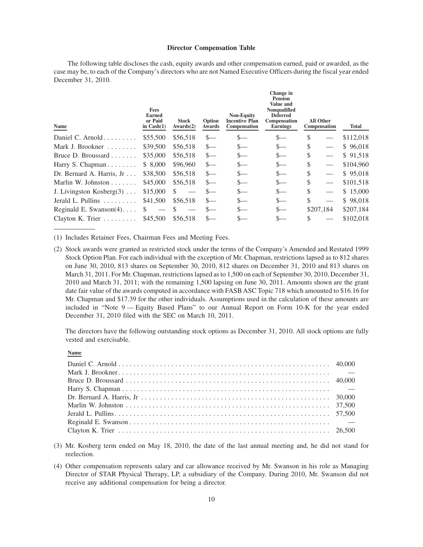## **Director Compensation Table**

The following table discloses the cash, equity awards and other compensation earned, paid or awarded, as the case may be, to each of the Company's directors who are not Named Executive Officers during the fiscal year ended December 31, 2010.

| Name                             | <b>Fees</b><br><b>Earned</b><br>or Paid<br>in $Cash(1)$ | <b>Stock</b><br>Awards(2) | Option<br>Awards | <b>Non-Equity</b><br>Incentive Plan<br><b>Compensation</b> | Change in<br><b>Pension</b><br>Value and<br><b>Nonqualified</b><br><b>Deferred</b><br><b>Compensation</b><br><b>Earnings</b> |    | <b>All Other</b><br>Compensation | Total     |
|----------------------------------|---------------------------------------------------------|---------------------------|------------------|------------------------------------------------------------|------------------------------------------------------------------------------------------------------------------------------|----|----------------------------------|-----------|
| Daniel C. Arnold                 | \$55,500                                                | \$56,518                  | $S-$             | $S-$                                                       | S—                                                                                                                           | S  |                                  | \$112,018 |
| Mark J. Brookner $\ldots \ldots$ | \$39,500                                                | \$56,518                  | $s-$             | $S-$                                                       | S—                                                                                                                           | \$ |                                  | \$96,018  |
| Bruce D. Broussard               | \$35,000                                                | \$56,518                  | $s-$             | S—                                                         | $S-$                                                                                                                         | S  |                                  | \$91,518  |
| Harry S. Chapman                 | \$ 8,000                                                | \$96,960                  | $\frac{S}{2}$    | $S-$                                                       | $s-$                                                                                                                         | \$ |                                  | \$104,960 |
| Dr. Bernard A. Harris, Jr        | \$38,500                                                | \$56,518                  | $s-$             | $S-$                                                       | $\frac{\ }{s-}$                                                                                                              | \$ |                                  | \$95,018  |
| Marlin W. Johnston $\ldots$      | \$45,000                                                | \$56,518                  | $S-$             | $S-$                                                       | $\frac{\ }{s-}$                                                                                                              | \$ |                                  | \$101,518 |
| J. Livingston Kosberg $(3)$      | \$15,000                                                | -S                        | $S-$             | $S-$                                                       | $\frac{\ }{s-}$                                                                                                              | \$ |                                  | \$15,000  |
| Jerald L. Pullins $\ldots$       | \$41,500                                                | \$56,518                  | $S-$             | $S-$                                                       | S—                                                                                                                           | S  |                                  | \$98,018  |
| Reginald E. Swanson $(4)$        | S                                                       |                           |                  | $S-$                                                       | $S-$                                                                                                                         |    | \$207,184                        | \$207,184 |
| Clayton K. Trier                 | \$45,500                                                | \$56,518                  |                  | S—                                                         |                                                                                                                              |    |                                  | \$102,018 |
|                                  |                                                         |                           |                  |                                                            |                                                                                                                              |    |                                  |           |

(1) Includes Retainer Fees, Chairman Fees and Meeting Fees.

The directors have the following outstanding stock options as December 31, 2010. All stock options are fully vested and exercisable.

**Name**

- (3) Mr. Kosberg term ended on May 18, 2010, the date of the last annual meeting and, he did not stand for reelection.
- (4) Other compensation represents salary and car allowance received by Mr. Swanson in his role as Managing Director of STAR Physical Therapy, LP, a subsidiary of the Company. During 2010, Mr. Swanson did not receive any additional compensation for being a director.

<sup>(2)</sup> Stock awards were granted as restricted stock under the terms of the Company's Amended and Restated 1999 Stock Option Plan. For each individual with the exception of Mr. Chapman, restrictions lapsed as to 812 shares on June 30, 2010, 813 shares on September 30, 2010, 812 shares on December 31, 2010 and 813 shares on March 31, 2011. For Mr. Chapman, restrictions lapsed as to 1,500 on each of September 30, 2010, December 31, 2010 and March 31, 2011; with the remaining 1,500 lapsing on June 30, 2011. Amounts shown are the grant date fair value of the awards computed in accordance with FASB ASC Topic 718 which amounted to \$16.16 for Mr. Chapman and \$17.39 for the other individuals. Assumptions used in the calculation of these amounts are included in "Note 9 — Equity Based Plans" to our Annual Report on Form 10-K for the year ended December 31, 2010 filed with the SEC on March 10, 2011.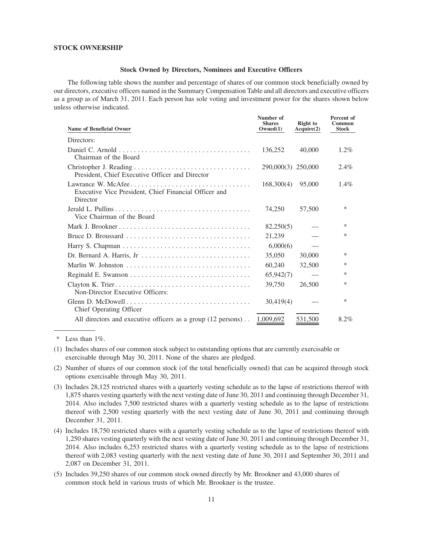## **STOCK OWNERSHIP**

## **Stock Owned by Directors, Nominees and Executive Officers**

The following table shows the number and percentage of shares of our common stock beneficially owned by our directors, executive officers named in the Summary Compensation Table and all directors and executive officers as a group as of March 31, 2011. Each person has sole voting and investment power for the shares shown below unless otherwise indicated.

| <b>Name of Beneficial Owner</b>                                                                                               | Number of<br><b>Shares</b><br>Owned(1) | <b>Right</b> to<br>Acquire(2) | Percent of<br><b>Common</b><br><b>Stock</b> |
|-------------------------------------------------------------------------------------------------------------------------------|----------------------------------------|-------------------------------|---------------------------------------------|
| Directors:                                                                                                                    |                                        |                               |                                             |
| Chairman of the Board                                                                                                         | 136,252                                | 40,000                        | $1.2\%$                                     |
| President, Chief Executive Officer and Director                                                                               | 290,000(3) 250,000                     |                               | $2.4\%$                                     |
| Lawrance W. McAfee<br>Executive Vice President, Chief Financial Officer and<br>Director                                       | 168,300(4)                             | 95,000                        | $1.4\%$                                     |
| Vice Chairman of the Board                                                                                                    | 74,250                                 | 57,500                        | *                                           |
| Mark J. Brookner                                                                                                              | 82,250(5)                              |                               | *                                           |
|                                                                                                                               | 21,239                                 |                               | *                                           |
|                                                                                                                               | 6,000(6)                               |                               |                                             |
|                                                                                                                               | 35,050                                 | 30,000                        | *                                           |
|                                                                                                                               | 60,240                                 | 32,500                        | *                                           |
|                                                                                                                               | 65,942(7)                              |                               | $\ast$                                      |
| Non-Director Executive Officers:                                                                                              | 39,750                                 | 26,500                        | *                                           |
| Glenn D. McDowell $\ldots$ $\ldots$ $\ldots$ $\ldots$ $\ldots$ $\ldots$ $\ldots$ $\ldots$ $\ldots$<br>Chief Operating Officer | 30,419(4)                              |                               | *                                           |
| All directors and executive officers as a group (12 persons)                                                                  | 1,009,692                              | 531,500                       | 8.2%                                        |

\* Less than 1%.

- (1) Includes shares of our common stock subject to outstanding options that are currently exercisable or exercisable through May 30, 2011. None of the shares are pledged.
- (2) Number of shares of our common stock (of the total beneficially owned) that can be acquired through stock options exercisable through May 30, 2011.
- (3) Includes 28,125 restricted shares with a quarterly vesting schedule as to the lapse of restrictions thereof with 1,875 shares vesting quarterly with the next vesting date of June 30, 2011 and continuing through December 31, 2014. Also includes 7,500 restricted shares with a quarterly vesting schedule as to the lapse of restrictions thereof with 2,500 vesting quarterly with the next vesting date of June 30, 2011 and continuing through December 31, 2011.
- (4) Includes 18,750 restricted shares with a quarterly vesting schedule as to the lapse of restrictions thereof with 1,250 shares vesting quarterly with the next vesting date of June 30, 2011 and continuing through December 31, 2014. Also includes 6,253 restricted shares with a quarterly vesting schedule as to the lapse of restrictions thereof with 2,083 vesting quarterly with the next vesting date of June 30, 2011 and September 30, 2011 and 2,087 on December 31, 2011.
- (5) Includes 39,250 shares of our common stock owned directly by Mr. Brookner and 43,000 shares of common stock held in various trusts of which Mr. Brookner is the trustee.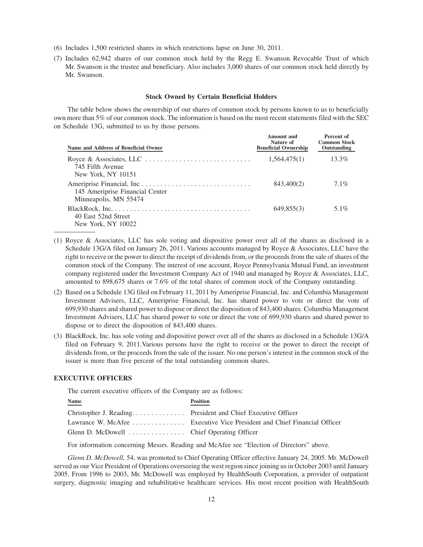- (6) Includes 1,500 restricted shares in which restrictions lapse on June 30, 2011.
- (7) Includes 62,942 shares of our common stock held by the Regg E. Swanson Revocable Trust of which Mr. Swanson is the trustee and beneficiary. Also includes 3,000 shares of our common stock held directly by Mr. Swanson.

## **Stock Owned by Certain Beneficial Holders**

The table below shows the ownership of our shares of common stock by persons known to us to beneficially own more than 5% of our common stock. The information is based on the most recent statements filed with the SEC on Schedule 13G, submitted to us by those persons.

| Name and Address of Beneficial Owner                                                                                                 | Amount and<br>Nature of<br><b>Beneficial Ownership</b> | Percent of<br><b>Common Stock</b><br>Outstanding |
|--------------------------------------------------------------------------------------------------------------------------------------|--------------------------------------------------------|--------------------------------------------------|
| 745 Fifth Avenue<br>New York, NY 10151                                                                                               | 1,564,475(1)                                           | 13.3%                                            |
| 145 Ameriprise Financial Center<br>Minneapolis, MN 55474                                                                             | 843,400(2)                                             | $7.1\%$                                          |
| $BlackRock, Inc. \ldots \ldots \ldots \ldots \ldots \ldots \ldots \ldots \ldots \ldots$<br>40 East 52nd Street<br>New York, NY 10022 | 649,855(3)                                             | $5.1\%$                                          |

- (1) Royce & Associates, LLC has sole voting and dispositive power over all of the shares as disclosed in a Schedule 13G/A filed on January 26, 2011. Various accounts managed by Royce & Associates, LLC have the right to receive or the power to direct the receipt of dividends from, or the proceeds from the sale of shares of the common stock of the Company. The interest of one account, Royce Pennsylvania Mutual Fund, an investment company registered under the Investment Company Act of 1940 and managed by Royce & Associates, LLC, amounted to 898,675 shares or 7.6% of the total shares of common stock of the Company outstanding.
- (2) Based on a Schedule 13G filed on February 11, 2011 by Ameriprise Financial, Inc. and Columbia Management Investment Advisers, LLC, Ameriprise Financial, Inc. has shared power to vote or direct the vote of 699,930 shares and shared power to dispose or direct the disposition of 843,400 shares. Columbia Management Investment Advisers, LLC has shared power to vote or direct the vote of 699,930 shares and shared power to dispose or to direct the disposition of 843,400 shares.
- (3) BlackRock, Inc. has sole voting and dispositive power over all of the shares as disclosed in a Schedule 13G/A filed on February 9, 2011.Various persons have the right to receive or the power to direct the receipt of dividends from, or the proceeds from the sale of the issuer. No one person's interest in the common stock of the issuer is more than five percent of the total outstanding common shares.

## **EXECUTIVE OFFICERS**

The current executive officers of the Company are as follows:

| <b>Name</b> | <b>Position</b>                                                         |
|-------------|-------------------------------------------------------------------------|
|             |                                                                         |
|             | Lawrance W. McAfee Executive Vice President and Chief Financial Officer |
|             |                                                                         |

For information concerning Messrs. Reading and McAfee see "Election of Directors" above.

*Glenn D. McDowell,* 54, was promoted to Chief Operating Officer effective January 24, 2005. Mr. McDowell served as our Vice President of Operations overseeing the west region since joining us in October 2003 until January 2005. From 1996 to 2003, Mr. McDowell was employed by HealthSouth Corporation, a provider of outpatient surgery, diagnostic imaging and rehabilitative healthcare services. His most recent position with HealthSouth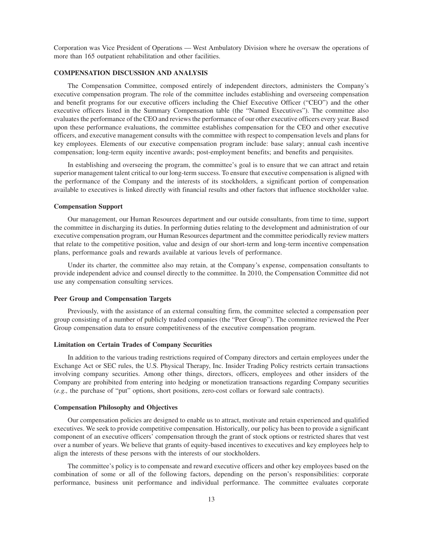Corporation was Vice President of Operations — West Ambulatory Division where he oversaw the operations of more than 165 outpatient rehabilitation and other facilities.

### **COMPENSATION DISCUSSION AND ANALYSIS**

The Compensation Committee, composed entirely of independent directors, administers the Company's executive compensation program. The role of the committee includes establishing and overseeing compensation and benefit programs for our executive officers including the Chief Executive Officer ("CEO") and the other executive officers listed in the Summary Compensation table (the "Named Executives"). The committee also evaluates the performance of the CEO and reviews the performance of our other executive officers every year. Based upon these performance evaluations, the committee establishes compensation for the CEO and other executive officers, and executive management consults with the committee with respect to compensation levels and plans for key employees. Elements of our executive compensation program include: base salary; annual cash incentive compensation; long-term equity incentive awards; post-employment benefits; and benefits and perquisites.

In establishing and overseeing the program, the committee's goal is to ensure that we can attract and retain superior management talent critical to our long-term success. To ensure that executive compensation is aligned with the performance of the Company and the interests of its stockholders, a significant portion of compensation available to executives is linked directly with financial results and other factors that influence stockholder value.

#### **Compensation Support**

Our management, our Human Resources department and our outside consultants, from time to time, support the committee in discharging its duties. In performing duties relating to the development and administration of our executive compensation program, our Human Resources department and the committee periodically review matters that relate to the competitive position, value and design of our short-term and long-term incentive compensation plans, performance goals and rewards available at various levels of performance.

Under its charter, the committee also may retain, at the Company's expense, compensation consultants to provide independent advice and counsel directly to the committee. In 2010, the Compensation Committee did not use any compensation consulting services.

## **Peer Group and Compensation Targets**

Previously, with the assistance of an external consulting firm, the committee selected a compensation peer group consisting of a number of publicly traded companies (the "Peer Group"). The committee reviewed the Peer Group compensation data to ensure competitiveness of the executive compensation program.

## **Limitation on Certain Trades of Company Securities**

In addition to the various trading restrictions required of Company directors and certain employees under the Exchange Act or SEC rules, the U.S. Physical Therapy, Inc. Insider Trading Policy restricts certain transactions involving company securities. Among other things, directors, officers, employees and other insiders of the Company are prohibited from entering into hedging or monetization transactions regarding Company securities (*e.g.,* the purchase of "put" options, short positions, zero-cost collars or forward sale contracts).

#### **Compensation Philosophy and Objectives**

Our compensation policies are designed to enable us to attract, motivate and retain experienced and qualified executives. We seek to provide competitive compensation. Historically, our policy has been to provide a significant component of an executive officers' compensation through the grant of stock options or restricted shares that vest over a number of years. We believe that grants of equity-based incentives to executives and key employees help to align the interests of these persons with the interests of our stockholders.

The committee's policy is to compensate and reward executive officers and other key employees based on the combination of some or all of the following factors, depending on the person's responsibilities: corporate performance, business unit performance and individual performance. The committee evaluates corporate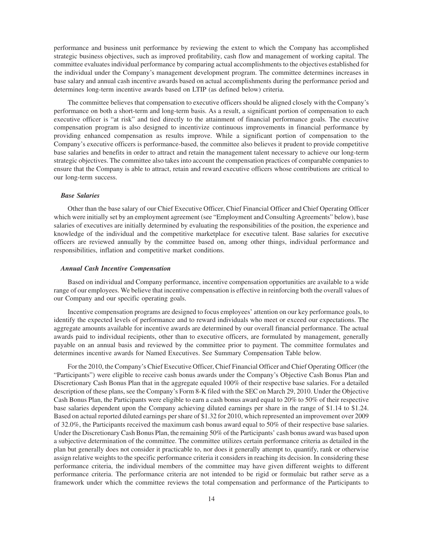performance and business unit performance by reviewing the extent to which the Company has accomplished strategic business objectives, such as improved profitability, cash flow and management of working capital. The committee evaluates individual performance by comparing actual accomplishments to the objectives established for the individual under the Company's management development program. The committee determines increases in base salary and annual cash incentive awards based on actual accomplishments during the performance period and determines long-term incentive awards based on LTIP (as defined below) criteria.

The committee believes that compensation to executive officers should be aligned closely with the Company's performance on both a short-term and long-term basis. As a result, a significant portion of compensation to each executive officer is "at risk" and tied directly to the attainment of financial performance goals. The executive compensation program is also designed to incentivize continuous improvements in financial performance by providing enhanced compensation as results improve. While a significant portion of compensation to the Company's executive officers is performance-based, the committee also believes it prudent to provide competitive base salaries and benefits in order to attract and retain the management talent necessary to achieve our long-term strategic objectives. The committee also takes into account the compensation practices of comparable companies to ensure that the Company is able to attract, retain and reward executive officers whose contributions are critical to our long-term success.

## *Base Salaries*

Other than the base salary of our Chief Executive Officer, Chief Financial Officer and Chief Operating Officer which were initially set by an employment agreement (see "Employment and Consulting Agreements" below), base salaries of executives are initially determined by evaluating the responsibilities of the position, the experience and knowledge of the individual and the competitive marketplace for executive talent. Base salaries for executive officers are reviewed annually by the committee based on, among other things, individual performance and responsibilities, inflation and competitive market conditions.

## *Annual Cash Incentive Compensation*

Based on individual and Company performance, incentive compensation opportunities are available to a wide range of our employees. We believe that incentive compensation is effective in reinforcing both the overall values of our Company and our specific operating goals.

Incentive compensation programs are designed to focus employees' attention on our key performance goals, to identify the expected levels of performance and to reward individuals who meet or exceed our expectations. The aggregate amounts available for incentive awards are determined by our overall financial performance. The actual awards paid to individual recipients, other than to executive officers, are formulated by management, generally payable on an annual basis and reviewed by the committee prior to payment. The committee formulates and determines incentive awards for Named Executives. See Summary Compensation Table below.

For the 2010, the Company's Chief Executive Officer, Chief Financial Officer and Chief Operating Officer (the "Participants") were eligible to receive cash bonus awards under the Company's Objective Cash Bonus Plan and Discretionary Cash Bonus Plan that in the aggregate equaled 100% of their respective base salaries. For a detailed description of these plans, see the Company's Form 8-K filed with the SEC on March 29, 2010. Under the Objective Cash Bonus Plan, the Participants were eligible to earn a cash bonus award equal to 20% to 50% of their respective base salaries dependent upon the Company achieving diluted earnings per share in the range of \$1.14 to \$1.24. Based on actual reported diluted earnings per share of \$1.32 for 2010, which represented an improvement over 2009 of 32.0%, the Participants received the maximum cash bonus award equal to 50% of their respective base salaries. Under the Discretionary Cash Bonus Plan, the remaining 50% of the Participants' cash bonus award was based upon a subjective determination of the committee. The committee utilizes certain performance criteria as detailed in the plan but generally does not consider it practicable to, nor does it generally attempt to, quantify, rank or otherwise assign relative weights to the specific performance criteria it considers in reaching its decision. In considering these performance criteria, the individual members of the committee may have given different weights to different performance criteria. The performance criteria are not intended to be rigid or formulaic but rather serve as a framework under which the committee reviews the total compensation and performance of the Participants to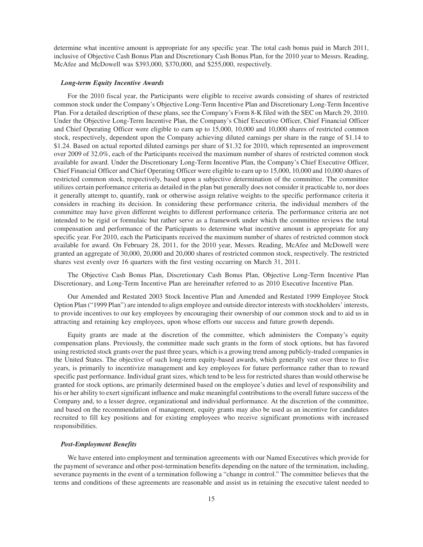determine what incentive amount is appropriate for any specific year. The total cash bonus paid in March 2011, inclusive of Objective Cash Bonus Plan and Discretionary Cash Bonus Plan, for the 2010 year to Messrs. Reading, McAfee and McDowell was \$393,000, \$370,000, and \$255,000, respectively.

## *Long-term Equity Incentive Awards*

For the 2010 fiscal year, the Participants were eligible to receive awards consisting of shares of restricted common stock under the Company's Objective Long-Term Incentive Plan and Discretionary Long-Term Incentive Plan. For a detailed description of these plans, see the Company's Form 8-K filed with the SEC on March 29, 2010. Under the Objective Long-Term Incentive Plan, the Company's Chief Executive Officer, Chief Financial Officer and Chief Operating Officer were eligible to earn up to 15,000, 10,000 and 10,000 shares of restricted common stock, respectively, dependent upon the Company achieving diluted earnings per share in the range of \$1.14 to \$1.24. Based on actual reported diluted earnings per share of \$1.32 for 2010, which represented an improvement over 2009 of 32.0%, each of the Participants received the maximum number of shares of restricted common stock available for award. Under the Discretionary Long-Term Incentive Plan, the Company's Chief Executive Officer, Chief Financial Officer and Chief Operating Officer were eligible to earn up to 15,000, 10,000 and 10,000 shares of restricted common stock, respectively, based upon a subjective determination of the committee. The committee utilizes certain performance criteria as detailed in the plan but generally does not consider it practicable to, nor does it generally attempt to, quantify, rank or otherwise assign relative weights to the specific performance criteria it considers in reaching its decision. In considering these performance criteria, the individual members of the committee may have given different weights to different performance criteria. The performance criteria are not intended to be rigid or formulaic but rather serve as a framework under which the committee reviews the total compensation and performance of the Participants to determine what incentive amount is appropriate for any specific year. For 2010, each the Participants received the maximum number of shares of restricted common stock available for award. On February 28, 2011, for the 2010 year, Messrs. Reading, McAfee and McDowell were granted an aggregate of 30,000, 20,000 and 20,000 shares of restricted common stock, respectively. The restricted shares vest evenly over 16 quarters with the first vesting occurring on March 31, 2011.

The Objective Cash Bonus Plan, Discretionary Cash Bonus Plan, Objective Long-Term Incentive Plan Discretionary, and Long-Term Incentive Plan are hereinafter referred to as 2010 Executive Incentive Plan.

Our Amended and Restated 2003 Stock Incentive Plan and Amended and Restated 1999 Employee Stock Option Plan ("1999 Plan") are intended to align employee and outside director interests with stockholders' interests, to provide incentives to our key employees by encouraging their ownership of our common stock and to aid us in attracting and retaining key employees, upon whose efforts our success and future growth depends.

Equity grants are made at the discretion of the committee, which administers the Company's equity compensation plans. Previously, the committee made such grants in the form of stock options, but has favored using restricted stock grants over the past three years, which is a growing trend among publicly-traded companies in the United States. The objective of such long-term equity-based awards, which generally vest over three to five years, is primarily to incentivize management and key employees for future performance rather than to reward specific past performance. Individual grant sizes, which tend to be less for restricted shares than would otherwise be granted for stock options, are primarily determined based on the employee's duties and level of responsibility and his or her ability to exert significant influence and make meaningful contributions to the overall future success of the Company and, to a lesser degree, organizational and individual performance. At the discretion of the committee, and based on the recommendation of management, equity grants may also be used as an incentive for candidates recruited to fill key positions and for existing employees who receive significant promotions with increased responsibilities.

## *Post-Employment Benefits*

We have entered into employment and termination agreements with our Named Executives which provide for the payment of severance and other post-termination benefits depending on the nature of the termination, including, severance payments in the event of a termination following a "change in control." The committee believes that the terms and conditions of these agreements are reasonable and assist us in retaining the executive talent needed to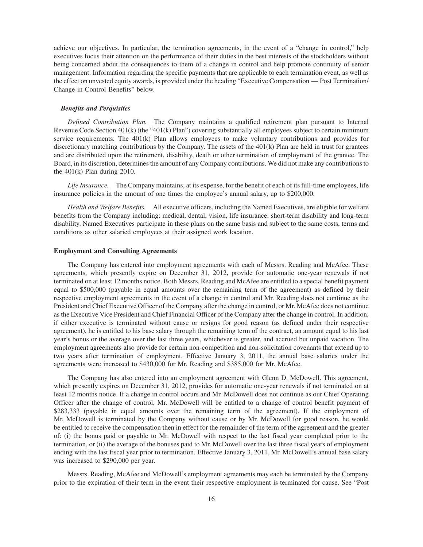achieve our objectives. In particular, the termination agreements, in the event of a "change in control," help executives focus their attention on the performance of their duties in the best interests of the stockholders without being concerned about the consequences to them of a change in control and help promote continuity of senior management. Information regarding the specific payments that are applicable to each termination event, as well as the effect on unvested equity awards, is provided under the heading "Executive Compensation — Post Termination/ Change-in-Control Benefits" below.

#### *Benefits and Perquisites*

*Defined Contribution Plan.* The Company maintains a qualified retirement plan pursuant to Internal Revenue Code Section 401(k) (the "401(k) Plan") covering substantially all employees subject to certain minimum service requirements. The 401(k) Plan allows employees to make voluntary contributions and provides for discretionary matching contributions by the Company. The assets of the 401(k) Plan are held in trust for grantees and are distributed upon the retirement, disability, death or other termination of employment of the grantee. The Board, in its discretion, determines the amount of any Company contributions. We did not make any contributions to the 401(k) Plan during 2010.

*Life Insurance.* The Company maintains, at its expense, for the benefit of each of its full-time employees, life insurance policies in the amount of one times the employee's annual salary, up to \$200,000.

*Health and Welfare Benefits.* All executive officers, including the Named Executives, are eligible for welfare benefits from the Company including: medical, dental, vision, life insurance, short-term disability and long-term disability. Named Executives participate in these plans on the same basis and subject to the same costs, terms and conditions as other salaried employees at their assigned work location.

#### **Employment and Consulting Agreements**

The Company has entered into employment agreements with each of Messrs. Reading and McAfee. These agreements, which presently expire on December 31, 2012, provide for automatic one-year renewals if not terminated on at least 12 months notice. Both Messrs. Reading and McAfee are entitled to a special benefit payment equal to \$500,000 (payable in equal amounts over the remaining term of the agreement) as defined by their respective employment agreements in the event of a change in control and Mr. Reading does not continue as the President and Chief Executive Officer of the Company after the change in control, or Mr. McAfee does not continue as the Executive Vice President and Chief Financial Officer of the Company after the change in control. In addition, if either executive is terminated without cause or resigns for good reason (as defined under their respective agreement), he is entitled to his base salary through the remaining term of the contract, an amount equal to his last year's bonus or the average over the last three years, whichever is greater, and accrued but unpaid vacation. The employment agreements also provide for certain non-competition and non-solicitation covenants that extend up to two years after termination of employment. Effective January 3, 2011, the annual base salaries under the agreements were increased to \$430,000 for Mr. Reading and \$385,000 for Mr. McAfee.

The Company has also entered into an employment agreement with Glenn D. McDowell. This agreement, which presently expires on December 31, 2012, provides for automatic one-year renewals if not terminated on at least 12 months notice. If a change in control occurs and Mr. McDowell does not continue as our Chief Operating Officer after the change of control, Mr. McDowell will be entitled to a change of control benefit payment of \$283,333 (payable in equal amounts over the remaining term of the agreement). If the employment of Mr. McDowell is terminated by the Company without cause or by Mr. McDowell for good reason, he would be entitled to receive the compensation then in effect for the remainder of the term of the agreement and the greater of: (i) the bonus paid or payable to Mr. McDowell with respect to the last fiscal year completed prior to the termination, or (ii) the average of the bonuses paid to Mr. McDowell over the last three fiscal years of employment ending with the last fiscal year prior to termination. Effective January 3, 2011, Mr. McDowell's annual base salary was increased to \$290,000 per year.

Messrs. Reading, McAfee and McDowell's employment agreements may each be terminated by the Company prior to the expiration of their term in the event their respective employment is terminated for cause. See "Post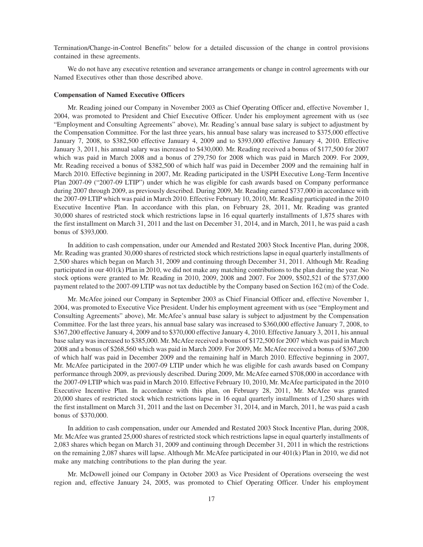Termination/Change-in-Control Benefits" below for a detailed discussion of the change in control provisions contained in these agreements.

We do not have any executive retention and severance arrangements or change in control agreements with our Named Executives other than those described above.

## **Compensation of Named Executive Officers**

Mr. Reading joined our Company in November 2003 as Chief Operating Officer and, effective November 1, 2004, was promoted to President and Chief Executive Officer. Under his employment agreement with us (see "Employment and Consulting Agreements" above), Mr. Reading's annual base salary is subject to adjustment by the Compensation Committee. For the last three years, his annual base salary was increased to \$375,000 effective January 7, 2008, to \$382,500 effective January 4, 2009 and to \$393,000 effective January 4, 2010. Effective January 3, 2011, his annual salary was increased to \$430,000. Mr. Reading received a bonus of \$177,500 for 2007 which was paid in March 2008 and a bonus of 279,750 for 2008 which was paid in March 2009. For 2009, Mr. Reading received a bonus of \$382,500 of which half was paid in December 2009 and the remaining half in March 2010. Effective beginning in 2007, Mr. Reading participated in the USPH Executive Long-Term Incentive Plan 2007-09 ("2007-09 LTIP") under which he was eligible for cash awards based on Company performance during 2007 through 2009, as previously described. During 2009, Mr. Reading earned \$737,000 in accordance with the 2007-09 LTIP which was paid in March 2010. Effective February 10, 2010, Mr. Reading participated in the 2010 Executive Incentive Plan. In accordance with this plan, on February 28, 2011, Mr. Reading was granted 30,000 shares of restricted stock which restrictions lapse in 16 equal quarterly installments of 1,875 shares with the first installment on March 31, 2011 and the last on December 31, 2014, and in March, 2011, he was paid a cash bonus of \$393,000.

In addition to cash compensation, under our Amended and Restated 2003 Stock Incentive Plan, during 2008, Mr. Reading was granted 30,000 shares of restricted stock which restrictions lapse in equal quarterly installments of 2,500 shares which began on March 31, 2009 and continuing through December 31, 2011. Although Mr. Reading participated in our 401(k) Plan in 2010, we did not make any matching contributions to the plan during the year. No stock options were granted to Mr. Reading in 2010, 2009, 2008 and 2007. For 2009, \$502,521 of the \$737,000 payment related to the 2007-09 LTIP was not tax deductible by the Company based on Section 162 (m) of the Code.

Mr. McAfee joined our Company in September 2003 as Chief Financial Officer and, effective November 1, 2004, was promoted to Executive Vice President. Under his employment agreement with us (see "Employment and Consulting Agreements" above), Mr. McAfee's annual base salary is subject to adjustment by the Compensation Committee. For the last three years, his annual base salary was increased to \$360,000 effective January 7, 2008, to \$367,200 effective January 4, 2009 and to \$370,000 effective January 4, 2010. Effective January 3, 2011, his annual base salary was increased to \$385,000. Mr. McAfee received a bonus of \$172,500 for 2007 which was paid in March 2008 and a bonus of \$268,560 which was paid in March 2009. For 2009, Mr. McAfee received a bonus of \$367,200 of which half was paid in December 2009 and the remaining half in March 2010. Effective beginning in 2007, Mr. McAfee participated in the 2007-09 LTIP under which he was eligible for cash awards based on Company performance through 2009, as previously described. During 2009, Mr. McAfee earned \$708,000 in accordance with the 2007-09 LTIP which was paid in March 2010. Effective February 10, 2010, Mr. McAfee participated in the 2010 Executive Incentive Plan. In accordance with this plan, on February 28, 2011, Mr. McAfee was granted 20,000 shares of restricted stock which restrictions lapse in 16 equal quarterly installments of 1,250 shares with the first installment on March 31, 2011 and the last on December 31, 2014, and in March, 2011, he was paid a cash bonus of \$370,000.

In addition to cash compensation, under our Amended and Restated 2003 Stock Incentive Plan, during 2008, Mr. McAfee was granted 25,000 shares of restricted stock which restrictions lapse in equal quarterly installments of 2,083 shares which began on March 31, 2009 and continuing through December 31, 2011 in which the restrictions on the remaining 2,087 shares will lapse. Although Mr. McAfee participated in our 401(k) Plan in 2010, we did not make any matching contributions to the plan during the year.

Mr. McDowell joined our Company in October 2003 as Vice President of Operations overseeing the west region and, effective January 24, 2005, was promoted to Chief Operating Officer. Under his employment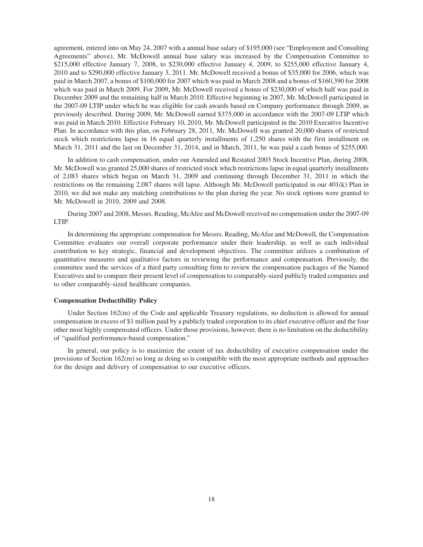agreement, entered into on May 24, 2007 with a annual base salary of \$195,000 (see "Employment and Consulting Agreements" above), Mr. McDowell annual base salary was increased by the Compensation Committee to \$215,000 effective January 7, 2008, to \$230,000 effective January 4, 2009, to \$255,000 effective January 4, 2010 and to \$290,000 effective January 3, 2011. Mr. McDowell received a bonus of \$35,000 for 2006, which was paid in March 2007, a bonus of \$100,000 for 2007 which was paid in March 2008 and a bonus of \$160,390 for 2008 which was paid in March 2009. For 2009, Mr. McDowell received a bonus of \$230,000 of which half was paid in December 2009 and the remaining half in March 2010. Effective beginning in 2007, Mr. McDowell participated in the 2007-09 LTIP under which he was eligible for cash awards based on Company performance through 2009, as previously described. During 2009, Mr. McDowell earned \$375,000 in accordance with the 2007-09 LTIP which was paid in March 2010. Effective February 10, 2010, Mr. McDowell participated in the 2010 Executive Incentive Plan. In accordance with this plan, on February 28, 2011, Mr. McDowell was granted 20,000 shares of restricted stock which restrictions lapse in 16 equal quarterly installments of 1,250 shares with the first installment on March 31, 2011 and the last on December 31, 2014, and in March, 2011, he was paid a cash bonus of \$255,000.

In addition to cash compensation, under our Amended and Restated 2003 Stock Incentive Plan, during 2008, Mr. McDowell was granted 25,000 shares of restricted stock which restrictions lapse in equal quarterly installments of 2,083 shares which began on March 31, 2009 and continuing through December 31, 2011 in which the restrictions on the remaining 2,087 shares will lapse. Although Mr. McDowell participated in our 401(k) Plan in 2010, we did not make any matching contributions to the plan during the year. No stock options were granted to Mr. McDowell in 2010, 2009 and 2008.

During 2007 and 2008, Messrs. Reading, McAfee and McDowell received no compensation under the 2007-09 LTIP.

In determining the appropriate compensation for Messrs. Reading, McAfee and McDowell, the Compensation Committee evaluates our overall corporate performance under their leadership, as well as each individual contribution to key strategic, financial and development objectives. The committee utilizes a combination of quantitative measures and qualitative factors in reviewing the performance and compensation. Previously, the committee used the services of a third party consulting firm to review the compensation packages of the Named Executives and to compare their present level of compensation to comparably-sized publicly traded companies and to other comparably-sized healthcare companies.

## **Compensation Deductibility Policy**

Under Section 162(m) of the Code and applicable Treasury regulations, no deduction is allowed for annual compensation in excess of \$1 million paid by a publicly traded corporation to its chief executive officer and the four other most highly compensated officers. Under those provisions, however, there is no limitation on the deductibility of "qualified performance-based compensation."

In general, our policy is to maximize the extent of tax deductibility of executive compensation under the provisions of Section 162(m) so long as doing so is compatible with the most appropriate methods and approaches for the design and delivery of compensation to our executive officers.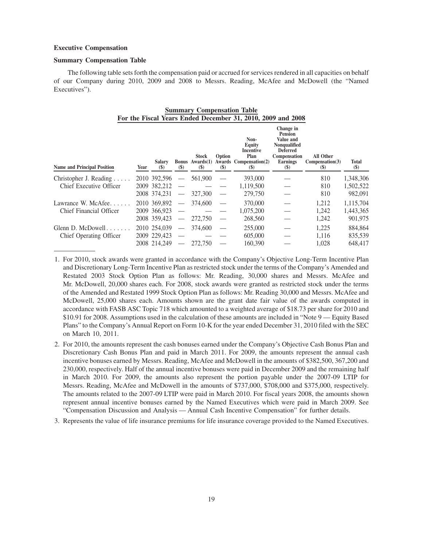## **Executive Compensation**

## **Summary Compensation Table**

The following table sets forth the compensation paid or accrued for services rendered in all capacities on behalf of our Company during 2010, 2009 and 2008 to Messrs. Reading, McAfee and McDowell (the "Named Executives").

**Summary Compensation Table**

| For the Fiscal Years Ended December 31, 2010, 2009 and 2008  |      |                                              |                                                                 |                                                                       |               |                                                                      |                                                                                                                                              |                                                              |                                   |
|--------------------------------------------------------------|------|----------------------------------------------|-----------------------------------------------------------------|-----------------------------------------------------------------------|---------------|----------------------------------------------------------------------|----------------------------------------------------------------------------------------------------------------------------------------------|--------------------------------------------------------------|-----------------------------------|
| <b>Name and Principal Position</b>                           | Year | <b>Salary</b><br>(S)                         | $(\$)$                                                          | <b>Stock</b><br><b>Bonus</b> Awards(1)<br>$\left( \mathsf{S} \right)$ | Option<br>(S) | Non-<br>Equity<br>Incentive<br>Plan<br>Awards Compensation(2)<br>(S) | Change in<br>Pension<br>Value and<br><b>Nonqualified</b><br><b>Deferred</b><br>Compensation<br><b>Earnings</b><br>$\left( \mathbb{S}\right)$ | All Other<br>Compensation(3)<br>$\left( \mathcal{S} \right)$ | Total<br>$(\$)$                   |
| Christopher J. Reading $\ldots$ .<br>Chief Executive Officer |      | 2010 392,596<br>2009 382,212<br>2008 374.231 | $\overbrace{\phantom{12333}}$<br>$\overbrace{\phantom{123321}}$ | 561,900<br>327,300                                                    |               | 393,000<br>1,119,500<br>279,750                                      |                                                                                                                                              | 810<br>810<br>810                                            | 1,348,306<br>1,502,522<br>982,091 |
| Lawrance W. McAfee<br>Chief Financial Officer                |      | 2010 369,892<br>2009 366,923<br>2008 359,423 | $\overbrace{\phantom{123321}}$<br>$\qquad \qquad$               | 374,600<br>272,750                                                    |               | 370,000<br>1,075,200<br>268,560                                      |                                                                                                                                              | 1,212<br>1.242<br>1,242                                      | 1,115,704<br>1,443,365<br>901,975 |
| Glenn D. McDowell $\ldots$ .<br>Chief Operating Officer      |      | 2010 254,039<br>2009 229,423<br>2008 214,249 | $\overbrace{\phantom{123321}}$                                  | 374,600<br>272,750                                                    |               | 255,000<br>605,000<br>160,390                                        |                                                                                                                                              | 1,225<br>1,116<br>1,028                                      | 884,864<br>835,539<br>648,417     |

1. For 2010, stock awards were granted in accordance with the Company's Objective Long-Term Incentive Plan and Discretionary Long-Term Incentive Plan as restricted stock under the terms of the Company's Amended and Restated 2003 Stock Option Plan as follows: Mr. Reading, 30,000 shares and Messrs. McAfee and Mr. McDowell, 20,000 shares each. For 2008, stock awards were granted as restricted stock under the terms of the Amended and Restated 1999 Stock Option Plan as follows: Mr. Reading 30,000 and Messrs. McAfee and McDowell, 25,000 shares each. Amounts shown are the grant date fair value of the awards computed in accordance with FASB ASC Topic 718 which amounted to a weighted average of \$18.73 per share for 2010 and \$10.91 for 2008. Assumptions used in the calculation of these amounts are included in "Note 9 — Equity Based Plans" to the Company's Annual Report on Form 10-K for the year ended December 31, 2010 filed with the SEC on March 10, 2011.

- 2. For 2010, the amounts represent the cash bonuses earned under the Company's Objective Cash Bonus Plan and Discretionary Cash Bonus Plan and paid in March 2011. For 2009, the amounts represent the annual cash incentive bonuses earned by Messrs. Reading, McAfee and McDowell in the amounts of \$382,500, 367,200 and 230,000, respectively. Half of the annual incentive bonuses were paid in December 2009 and the remaining half in March 2010. For 2009, the amounts also represent the portion payable under the 2007-09 LTIP for Messrs. Reading, McAfee and McDowell in the amounts of \$737,000, \$708,000 and \$375,000, respectively. The amounts related to the 2007-09 LTIP were paid in March 2010. For fiscal years 2008, the amounts shown represent annual incentive bonuses earned by the Named Executives which were paid in March 2009. See "Compensation Discussion and Analysis — Annual Cash Incentive Compensation" for further details.
- 3. Represents the value of life insurance premiums for life insurance coverage provided to the Named Executives.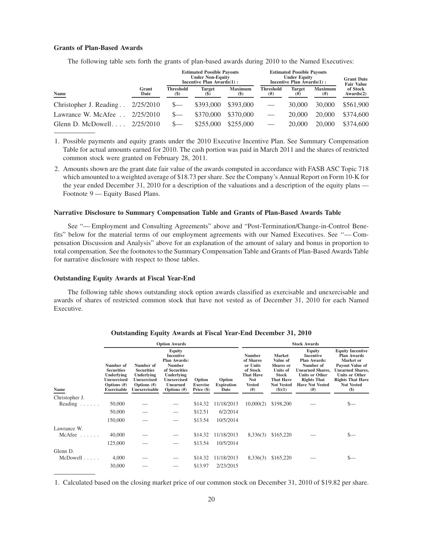## **Grants of Plan-Based Awards**

The following table sets forth the grants of plan-based awards during 2010 to the Named Executives:

|                        |               | <b>Estimated Possible Payouts</b><br><b>Under Non-Equity</b><br>Incentive Plan Awards $(1)$ : |                         | <b>Estimated Possible Payouts</b><br><b>Under Equity</b><br>Incentive Plan Awards(1): | <b>Grant Date</b><br><b>Fair Value</b> |                           |                        |                       |
|------------------------|---------------|-----------------------------------------------------------------------------------------------|-------------------------|---------------------------------------------------------------------------------------|----------------------------------------|---------------------------|------------------------|-----------------------|
| Name                   | Grant<br>Date | <b>Threshold</b><br><b>(\$)</b>                                                               | <b>Target</b><br>$(\$)$ | <b>Maximum</b><br><b>(S)</b>                                                          | <b>Threshold</b><br>$^{(#)}$           | <b>Target</b><br>$^{(#)}$ | <b>Maximum</b><br>(# ) | of Stock<br>Awards(2) |
| Christopher J. Reading | 2/25/2010     |                                                                                               | \$393,000               | \$393,000                                                                             | $\overline{\phantom{0}}$               | 30,000                    | 30,000                 | \$561,900             |
| Lawrance W. McAfee     | 2/25/2010     |                                                                                               | \$370,000               | \$370,000                                                                             |                                        | 20,000                    | 20,000                 | \$374,600             |
| Glenn D. McDowell      | 2/25/2010     |                                                                                               | \$255,000               | \$255,000                                                                             |                                        | 20,000                    | 20,000                 | \$374,600             |

1. Possible payments and equity grants under the 2010 Executive Incentive Plan. See Summary Compensation Table for actual amounts earned for 2010. The cash portion was paid in March 2011 and the shares of restricted common stock were granted on February 28, 2011.

2. Amounts shown are the grant date fair value of the awards computed in accordance with FASB ASC Topic 718 which amounted to a weighted average of \$18.73 per share. See the Company's Annual Report on Form 10-K for the year ended December 31, 2010 for a description of the valuations and a description of the equity plans — Footnote 9 — Equity Based Plans.

## **Narrative Disclosure to Summary Compensation Table and Grants of Plan-Based Awards Table**

See "— Employment and Consulting Agreements" above and "Post-Termination/Change-in-Control Benefits" below for the material terms of our employment agreements with our Named Executives. See ''— Compensation Discussion and Analysis" above for an explanation of the amount of salary and bonus in proportion to total compensation. See the footnotes to the Summary Compensation Table and Grants of Plan-Based Awards Table for narrative disclosure with respect to those tables.

#### **Outstanding Equity Awards at Fiscal Year-End**

The following table shows outstanding stock option awards classified as exercisable and unexercisable and awards of shares of restricted common stock that have not vested as of December 31, 2010 for each Named Executive.

|                  |                                                                                                  |                                                                                                       | <b>Option Awards</b>                                                                                                                                         |                                           |                                     |                                                                                                               |                                                                                                                                     | <b>Stock Awards</b>                                                                                                                                                               |                                                                                                                                                                                             |
|------------------|--------------------------------------------------------------------------------------------------|-------------------------------------------------------------------------------------------------------|--------------------------------------------------------------------------------------------------------------------------------------------------------------|-------------------------------------------|-------------------------------------|---------------------------------------------------------------------------------------------------------------|-------------------------------------------------------------------------------------------------------------------------------------|-----------------------------------------------------------------------------------------------------------------------------------------------------------------------------------|---------------------------------------------------------------------------------------------------------------------------------------------------------------------------------------------|
| Name             | Number of<br><b>Securities</b><br><b>Underlying</b><br>Unexercised<br>Options (#)<br>Exercisable | Number of<br><b>Securities</b><br>Underlying<br><b>Unexercised</b><br>Options $(\#)$<br>Unexercisable | <b>Equity</b><br>Incentive<br><b>Plan Awards:</b><br><b>Number</b><br>of Securities<br>Underlying<br><b>Unexercised</b><br><b>Unearned</b><br>Options $(\#)$ | Option<br><b>Exercise</b><br>Price $(\$)$ | Option<br><b>Expiration</b><br>Date | <b>Number</b><br>of Shares<br>or Units<br>of Stock<br><b>That Have</b><br><b>Not</b><br><b>Vested</b><br>(# ) | <b>Market</b><br>Value of<br><b>Shares</b> or<br><b>Units of</b><br><b>Stock</b><br><b>That Have</b><br><b>Not Vested</b><br>(3)(1) | <b>Equity</b><br><b>Incentive</b><br><b>Plan Awards:</b><br>Number of<br><b>Unearned Shares,</b><br><b>Units or Other</b><br><b>Rights That</b><br><b>Have Not Vested</b><br>(# ) | <b>Equity Incentive</b><br><b>Plan Awards</b><br>Market or<br>Payout Value of<br><b>Unearned Shares,</b><br><b>Units or Other</b><br><b>Rights That Have</b><br><b>Not Vested</b><br>$(\$)$ |
| Christopher J.   |                                                                                                  |                                                                                                       |                                                                                                                                                              |                                           |                                     |                                                                                                               |                                                                                                                                     |                                                                                                                                                                                   |                                                                                                                                                                                             |
| Reading $\ldots$ | 50,000                                                                                           |                                                                                                       |                                                                                                                                                              | \$14.32                                   | 11/18/2013                          | 10,000(2)                                                                                                     | \$198,200                                                                                                                           |                                                                                                                                                                                   | $_{-}$                                                                                                                                                                                      |
|                  | 50,000                                                                                           |                                                                                                       |                                                                                                                                                              | \$12.51                                   | 6/2/2014                            |                                                                                                               |                                                                                                                                     |                                                                                                                                                                                   |                                                                                                                                                                                             |
|                  | 150,000                                                                                          |                                                                                                       |                                                                                                                                                              | \$13.54                                   | 10/5/2014                           |                                                                                                               |                                                                                                                                     |                                                                                                                                                                                   |                                                                                                                                                                                             |
| Lawrance W.      |                                                                                                  |                                                                                                       |                                                                                                                                                              |                                           |                                     |                                                                                                               |                                                                                                                                     |                                                                                                                                                                                   |                                                                                                                                                                                             |
| $McAfee$         | 40,000                                                                                           |                                                                                                       |                                                                                                                                                              | \$14.32                                   | 11/18/2013                          | 8,336(3)                                                                                                      | \$165,220                                                                                                                           |                                                                                                                                                                                   | $S-$                                                                                                                                                                                        |
|                  | 125,000                                                                                          |                                                                                                       |                                                                                                                                                              | \$13.54                                   | 10/5/2014                           |                                                                                                               |                                                                                                                                     |                                                                                                                                                                                   |                                                                                                                                                                                             |
| Glenn D.         |                                                                                                  |                                                                                                       |                                                                                                                                                              |                                           |                                     |                                                                                                               |                                                                                                                                     |                                                                                                                                                                                   |                                                                                                                                                                                             |
| McDowell         | 4,000                                                                                            |                                                                                                       |                                                                                                                                                              | \$14.32                                   | 11/18/2013                          | 8,336(3)                                                                                                      | \$165,220                                                                                                                           |                                                                                                                                                                                   | S—                                                                                                                                                                                          |
|                  | 30,000                                                                                           |                                                                                                       |                                                                                                                                                              | \$13.97                                   | 2/23/2015                           |                                                                                                               |                                                                                                                                     |                                                                                                                                                                                   |                                                                                                                                                                                             |

#### **Outstanding Equity Awards at Fiscal Year-End December 31, 2010**

1. Calculated based on the closing market price of our common stock on December 31, 2010 of \$19.82 per share.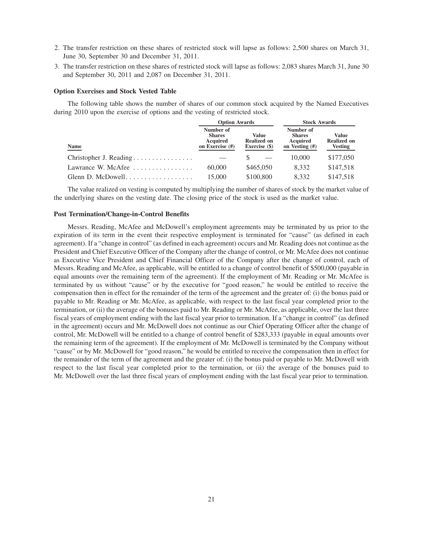- 2. The transfer restriction on these shares of restricted stock will lapse as follows: 2,500 shares on March 31, June 30, September 30 and December 31, 2011.
- 3. The transfer restriction on these shares of restricted stock will lapse as follows: 2,083 shares March 31, June 30 and September 30, 2011 and 2,087 on December 31, 2011.

## **Option Exercises and Stock Vested Table**

The following table shows the number of shares of our common stock acquired by the Named Executives during 2010 upon the exercise of options and the vesting of restricted stock.

|                                                     | <b>Option Awards</b>                                      |                                              | <b>Stock Awards</b>                                      |                                               |  |
|-----------------------------------------------------|-----------------------------------------------------------|----------------------------------------------|----------------------------------------------------------|-----------------------------------------------|--|
| Name                                                | Number of<br><b>Shares</b><br>Acquired<br>on Exercise (#) | Value<br><b>Realized on</b><br>Exercise (\$) | Number of<br><b>Shares</b><br>Acquired<br>on Vesting (#) | Value<br><b>Realized on</b><br><b>Vesting</b> |  |
| Christopher J. Reading                              |                                                           |                                              | 10,000                                                   | \$177,050                                     |  |
| Lawrance W. McAfee $\dots\dots\dots\dots\dots\dots$ | 60,000                                                    | \$465,050                                    | 8.332                                                    | \$147,518                                     |  |
|                                                     | 15,000                                                    | \$100,800                                    | 8.332                                                    | \$147,518                                     |  |

The value realized on vesting is computed by multiplying the number of shares of stock by the market value of the underlying shares on the vesting date. The closing price of the stock is used as the market value.

## **Post Termination/Change-in-Control Benefits**

Messrs. Reading, McAfee and McDowell's employment agreements may be terminated by us prior to the expiration of its term in the event their respective employment is terminated for "cause" (as defined in each agreement). If a "change in control" (as defined in each agreement) occurs and Mr. Reading does not continue as the President and Chief Executive Officer of the Company after the change of control, or Mr. McAfee does not continue as Executive Vice President and Chief Financial Officer of the Company after the change of control, each of Messrs. Reading and McAfee, as applicable, will be entitled to a change of control benefit of \$500,000 (payable in equal amounts over the remaining term of the agreement). If the employment of Mr. Reading or Mr. McAfee is terminated by us without "cause" or by the executive for "good reason," he would be entitled to receive the compensation then in effect for the remainder of the term of the agreement and the greater of: (i) the bonus paid or payable to Mr. Reading or Mr. McAfee, as applicable, with respect to the last fiscal year completed prior to the termination, or (ii) the average of the bonuses paid to Mr. Reading or Mr. McAfee, as applicable, over the last three fiscal years of employment ending with the last fiscal year prior to termination. If a "change in control" (as defined in the agreement) occurs and Mr. McDowell does not continue as our Chief Operating Officer after the change of control, Mr. McDowell will be entitled to a change of control benefit of \$283,333 (payable in equal amounts over the remaining term of the agreement). If the employment of Mr. McDowell is terminated by the Company without "cause" or by Mr. McDowell for "good reason," he would be entitled to receive the compensation then in effect for the remainder of the term of the agreement and the greater of: (i) the bonus paid or payable to Mr. McDowell with respect to the last fiscal year completed prior to the termination, or (ii) the average of the bonuses paid to Mr. McDowell over the last three fiscal years of employment ending with the last fiscal year prior to termination.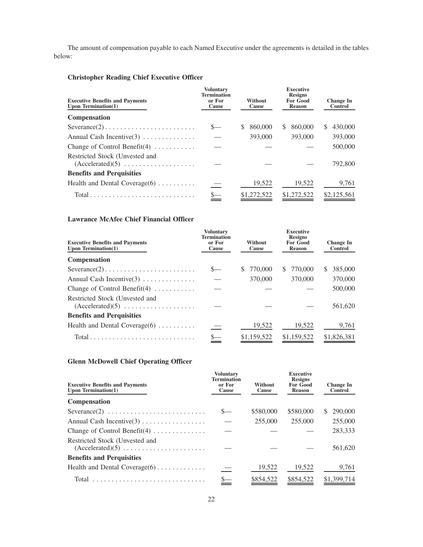The amount of compensation payable to each Named Executive under the agreements is detailed in the tables below:

## **Christopher Reading Chief Executive Officer**

| <b>Executive Benefits and Payments</b><br>Upon Termination $(1)$                        | <b>Voluntary</b><br><b>Termination</b><br>or For<br>Cause | <b>Without</b><br>Cause | <b>Executive</b><br><b>Resigns</b><br><b>For Good</b><br><b>Reason</b> | <b>Change In</b><br>Control |  |
|-----------------------------------------------------------------------------------------|-----------------------------------------------------------|-------------------------|------------------------------------------------------------------------|-----------------------------|--|
| Compensation                                                                            |                                                           |                         |                                                                        |                             |  |
| $Severance(2) \ldots \ldots \ldots \ldots \ldots \ldots \ldots \ldots$                  |                                                           | 860,000<br>\$.          | 860,000<br>S.                                                          | 430,000<br>S                |  |
| Annual Cash Incentive $(3)$                                                             |                                                           | 393,000                 | 393,000                                                                | 393,000                     |  |
| Change of Control Benefit $(4)$                                                         |                                                           |                         |                                                                        | 500,000                     |  |
| Restricted Stock (Unvested and<br>$(Accelerated)(5) \ldots \ldots \ldots \ldots \ldots$ |                                                           |                         |                                                                        | 792,800                     |  |
| <b>Benefits and Perquisities</b>                                                        |                                                           |                         |                                                                        |                             |  |
| Health and Dental Coverage $(6)$                                                        |                                                           | 19,522                  | 19,522                                                                 | 9,761                       |  |
| $Total \dots \dots \dots \dots \dots \dots \dots \dots \dots \dots \dots$               |                                                           | \$1,272,522             | \$1,272,522                                                            | \$2,125,561                 |  |

## **Lawrance McAfee Chief Financial Officer**

| <b>Executive Benefits and Payments</b><br>Upon Termination $(1)$                        | <b>Voluntary</b><br><b>Termination</b><br>or For<br>Cause | Without<br>Cause | <b>Executive</b><br><b>Resigns</b><br><b>For Good</b><br><b>Reason</b> | <b>Change In</b><br>Control |  |
|-----------------------------------------------------------------------------------------|-----------------------------------------------------------|------------------|------------------------------------------------------------------------|-----------------------------|--|
| <b>Compensation</b>                                                                     |                                                           |                  |                                                                        |                             |  |
| $Severance(2) \ldots \ldots \ldots \ldots \ldots \ldots \ldots \ldots$                  |                                                           | 770,000<br>S.    | 770,000<br>S.                                                          | 385,000<br>S.               |  |
| Annual Cash Incentive $(3)$                                                             |                                                           | 370,000          | 370,000                                                                | 370,000                     |  |
| Change of Control Benefit(4) $\dots \dots$                                              |                                                           |                  |                                                                        | 500,000                     |  |
| Restricted Stock (Unvested and<br>$(Accelerated)(5) \ldots \ldots \ldots \ldots \ldots$ |                                                           |                  |                                                                        | 561,620                     |  |
| <b>Benefits and Perquisities</b>                                                        |                                                           |                  |                                                                        |                             |  |
| Health and Dental Coverage $(6)$                                                        |                                                           | 19,522           | 19,522                                                                 | 9,761                       |  |
| $Total \dots \dots \dots \dots \dots \dots \dots \dots \dots \dots \dots$               |                                                           | \$1,159,522      | \$1,159,522                                                            | \$1,826,381                 |  |

## **Glenn McDowell Chief Operating Officer**

| <b>Executive Benefits and Payments</b><br>Upon Termination $(1)$                               | <b>Voluntary</b><br><b>Termination</b><br>or For<br>Cause | <b>Without</b><br>Cause | <b>Executive</b><br><b>Resigns</b><br><b>For Good</b><br><b>Reason</b> | <b>Change In</b><br><b>Control</b> |
|------------------------------------------------------------------------------------------------|-----------------------------------------------------------|-------------------------|------------------------------------------------------------------------|------------------------------------|
| <b>Compensation</b>                                                                            |                                                           |                         |                                                                        |                                    |
| $Severance(2) \ldots \ldots \ldots \ldots \ldots \ldots \ldots \ldots$                         |                                                           | \$580,000               | \$580,000                                                              | 290,000<br><sup>S</sup>            |
|                                                                                                |                                                           | 255,000                 | 255,000                                                                | 255,000                            |
| Change of Control Benefit $(4)$                                                                |                                                           |                         |                                                                        | 283,333                            |
| Restricted Stock (Unvested and<br>$(Accelerated)(5) \ldots \ldots \ldots \ldots \ldots \ldots$ |                                                           |                         |                                                                        | 561,620                            |
| <b>Benefits and Perquisities</b>                                                               |                                                           |                         |                                                                        |                                    |
| Health and Dental Coverage $(6)$                                                               |                                                           | 19,522                  | 19,522                                                                 | 9,761                              |
|                                                                                                |                                                           | \$854,522               | \$854,522                                                              | \$1,399,714                        |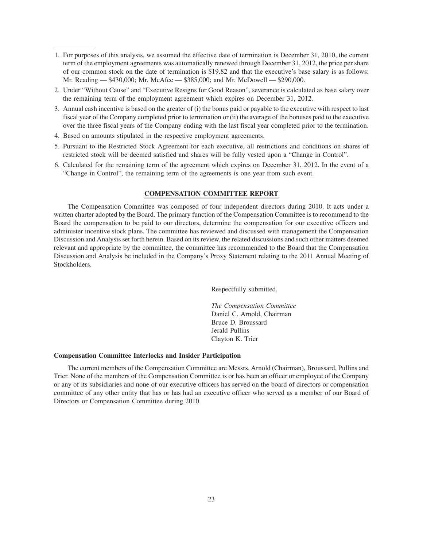- 1. For purposes of this analysis, we assumed the effective date of termination is December 31, 2010, the current term of the employment agreements was automatically renewed through December 31, 2012, the price per share of our common stock on the date of termination is \$19.82 and that the executive's base salary is as follows: Mr. Reading — \$430,000; Mr. McAfee — \$385,000; and Mr. McDowell — \$290,000.
- 2. Under "Without Cause" and "Executive Resigns for Good Reason", severance is calculated as base salary over the remaining term of the employment agreement which expires on December 31, 2012.
- 3. Annual cash incentive is based on the greater of (i) the bonus paid or payable to the executive with respect to last fiscal year of the Company completed prior to termination or (ii) the average of the bonuses paid to the executive over the three fiscal years of the Company ending with the last fiscal year completed prior to the termination.
- 4. Based on amounts stipulated in the respective employment agreements.
- 5. Pursuant to the Restricted Stock Agreement for each executive, all restrictions and conditions on shares of restricted stock will be deemed satisfied and shares will be fully vested upon a "Change in Control".
- 6. Calculated for the remaining term of the agreement which expires on December 31, 2012. In the event of a "Change in Control", the remaining term of the agreements is one year from such event.

## **COMPENSATION COMMITTEE REPORT**

The Compensation Committee was composed of four independent directors during 2010. It acts under a written charter adopted by the Board. The primary function of the Compensation Committee is to recommend to the Board the compensation to be paid to our directors, determine the compensation for our executive officers and administer incentive stock plans. The committee has reviewed and discussed with management the Compensation Discussion and Analysis set forth herein. Based on its review, the related discussions and such other matters deemed relevant and appropriate by the committee, the committee has recommended to the Board that the Compensation Discussion and Analysis be included in the Company's Proxy Statement relating to the 2011 Annual Meeting of Stockholders.

Respectfully submitted,

*The Compensation Committee* Daniel C. Arnold, Chairman Bruce D. Broussard Jerald Pullins Clayton K. Trier

### **Compensation Committee Interlocks and Insider Participation**

The current members of the Compensation Committee are Messrs. Arnold (Chairman), Broussard, Pullins and Trier. None of the members of the Compensation Committee is or has been an officer or employee of the Company or any of its subsidiaries and none of our executive officers has served on the board of directors or compensation committee of any other entity that has or has had an executive officer who served as a member of our Board of Directors or Compensation Committee during 2010.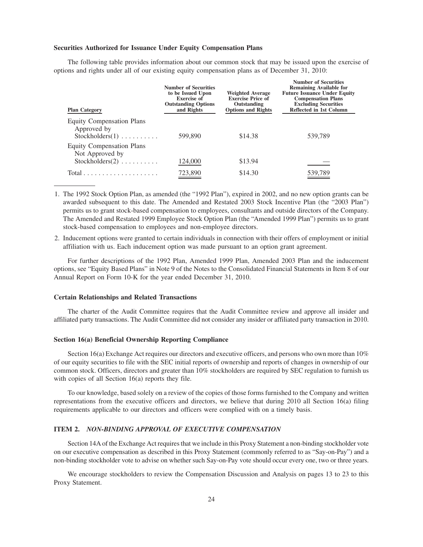## **Securities Authorized for Issuance Under Equity Compensation Plans**

The following table provides information about our common stock that may be issued upon the exercise of options and rights under all of our existing equity compensation plans as of December 31, 2010:

| <b>Plan Category</b>                                                                          | <b>Number of Securities</b><br>to be Issued Upon<br><b>Exercise of</b><br><b>Outstanding Options</b><br>and Rights | <b>Weighted Average</b><br><b>Exercise Price of</b><br>Outstanding<br><b>Options and Rights</b> | <b>Number of Securities</b><br><b>Remaining Available for</b><br><b>Future Issuance Under Equity</b><br><b>Compensation Plans</b><br><b>Excluding Securities</b><br>Reflected in 1st Column |
|-----------------------------------------------------------------------------------------------|--------------------------------------------------------------------------------------------------------------------|-------------------------------------------------------------------------------------------------|---------------------------------------------------------------------------------------------------------------------------------------------------------------------------------------------|
| <b>Equity Compensation Plans</b><br>Approved by<br>$Stockholders(1) \ldots \ldots \ldots$     | 599,890                                                                                                            | \$14.38                                                                                         | 539,789                                                                                                                                                                                     |
| <b>Equity Compensation Plans</b><br>Not Approved by<br>$Stockholders(2) \ldots \ldots \ldots$ | 124,000                                                                                                            | \$13.94                                                                                         |                                                                                                                                                                                             |
| $Total \dots \dots \dots \dots \dots \dots \dots$                                             | 723,890                                                                                                            | \$14.30                                                                                         | 539,789                                                                                                                                                                                     |

1. The 1992 Stock Option Plan, as amended (the "1992 Plan"), expired in 2002, and no new option grants can be awarded subsequent to this date. The Amended and Restated 2003 Stock Incentive Plan (the "2003 Plan") permits us to grant stock-based compensation to employees, consultants and outside directors of the Company. The Amended and Restated 1999 Employee Stock Option Plan (the "Amended 1999 Plan") permits us to grant stock-based compensation to employees and non-employee directors.

2. Inducement options were granted to certain individuals in connection with their offers of employment or initial affiliation with us. Each inducement option was made pursuant to an option grant agreement.

For further descriptions of the 1992 Plan, Amended 1999 Plan, Amended 2003 Plan and the inducement options, see "Equity Based Plans" in Note 9 of the Notes to the Consolidated Financial Statements in Item 8 of our Annual Report on Form 10-K for the year ended December 31, 2010.

### **Certain Relationships and Related Transactions**

The charter of the Audit Committee requires that the Audit Committee review and approve all insider and affiliated party transactions. The Audit Committee did not consider any insider or affiliated party transaction in 2010.

### **Section 16(a) Beneficial Ownership Reporting Compliance**

Section 16(a) Exchange Act requires our directors and executive officers, and persons who own more than 10% of our equity securities to file with the SEC initial reports of ownership and reports of changes in ownership of our common stock. Officers, directors and greater than 10% stockholders are required by SEC regulation to furnish us with copies of all Section 16(a) reports they file.

To our knowledge, based solely on a review of the copies of those forms furnished to the Company and written representations from the executive officers and directors, we believe that during 2010 all Section 16(a) filing requirements applicable to our directors and officers were complied with on a timely basis.

## **ITEM 2.** *NON-BINDING APPROVAL OF EXECUTIVE COMPENSATION*

Section 14A of the Exchange Act requires that we include in this Proxy Statement a non-binding stockholder vote on our executive compensation as described in this Proxy Statement (commonly referred to as "Say-on-Pay") and a non-binding stockholder vote to advise on whether such Say-on-Pay vote should occur every one, two or three years.

We encourage stockholders to review the Compensation Discussion and Analysis on pages 13 to 23 to this Proxy Statement.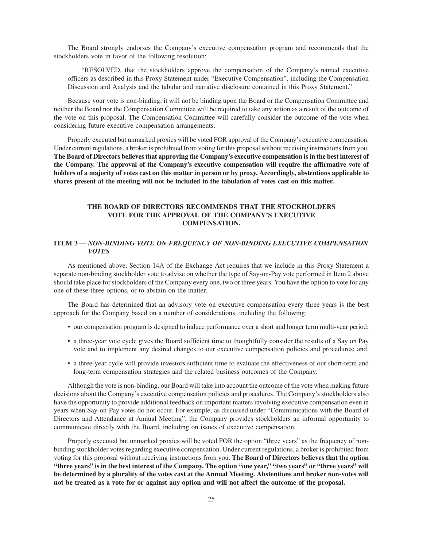The Board strongly endorses the Company's executive compensation program and recommends that the stockholders vote in favor of the following resolution:

"RESOLVED, that the stockholders approve the compensation of the Company's named executive officers as described in this Proxy Statement under "Executive Compensation", including the Compensation Discussion and Analysis and the tabular and narrative disclosure contained in this Proxy Statement."

Because your vote is non-binding, it will not be binding upon the Board or the Compensation Committee and neither the Board nor the Compensation Committee will be required to take any action as a result of the outcome of the vote on this proposal. The Compensation Committee will carefully consider the outcome of the vote when considering future executive compensation arrangements.

Properly executed but unmarked proxies will be voted FOR approval of the Company's executive compensation. Under current regulations, a broker is prohibited from voting for this proposal without receiving instructions from you. **The Board of Directors believes that approving the Company's executive compensation is in the best interest of the Company. The approval of the Company's executive compensation will require the affirmative vote of holders of a majority of votes cast on this matter in person or by proxy. Accordingly, abstentions applicable to shares present at the meeting will not be included in the tabulation of votes cast on this matter.**

## **THE BOARD OF DIRECTORS RECOMMENDS THAT THE STOCKHOLDERS VOTE FOR THE APPROVAL OF THE COMPANY'S EXECUTIVE COMPENSATION.**

## **ITEM 3 —** *NON-BINDING VOTE ON FREQUENCY OF NON-BINDING EXECUTIVE COMPENSATION VOTES*

As mentioned above, Section 14A of the Exchange Act requires that we include in this Proxy Statement a separate non-binding stockholder vote to advise on whether the type of Say-on-Pay vote performed in Item 2 above should take place for stockholders of the Company every one, two or three years. You have the option to vote for any one of these three options, or to abstain on the matter.

The Board has determined that an advisory vote on executive compensation every three years is the best approach for the Company based on a number of considerations, including the following:

- our compensation program is designed to induce performance over a short and longer term multi-year period;
- a three-year vote cycle gives the Board sufficient time to thoughtfully consider the results of a Say on Pay vote and to implement any desired changes to our executive compensation policies and procedures; and
- a three-year cycle will provide investors sufficient time to evaluate the effectiveness of our short-term and long-term compensation strategies and the related business outcomes of the Company.

Although the vote is non-binding, our Board will take into account the outcome of the vote when making future decisions about the Company's executive compensation policies and procedures. The Company's stockholders also have the opportunity to provide additional feedback on important matters involving executive compensation even in years when Say-on-Pay votes do not occur. For example, as discussed under "Communications with the Board of Directors and Attendance at Annual Meeting", the Company provides stockholders an informal opportunity to communicate directly with the Board, including on issues of executive compensation.

Properly executed but unmarked proxies will be voted FOR the option "three years" as the frequency of nonbinding stockholder votes regarding executive compensation. Under current regulations, a broker is prohibited from voting for this proposal without receiving instructions from you. **The Board of Directors believes that the option "three years" is in the best interest of the Company. The option "one year," "two years" or "three years" will be determined by a plurality of the votes cast at the Annual Meeting. Abstentions and broker non-votes will not be treated as a vote for or against any option and will not affect the outcome of the proposal.**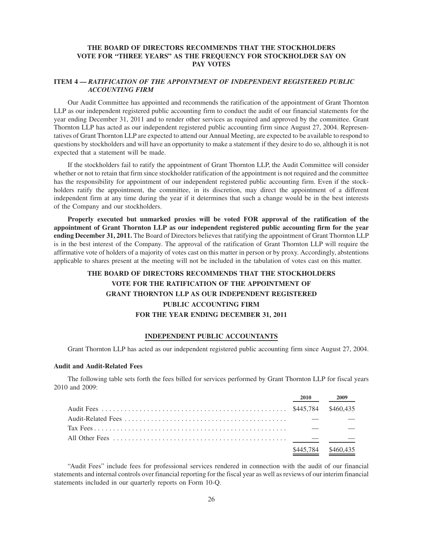## **THE BOARD OF DIRECTORS RECOMMENDS THAT THE STOCKHOLDERS VOTE FOR "THREE YEARS" AS THE FREQUENCY FOR STOCKHOLDER SAY ON PAY VOTES**

## **ITEM 4 —** *RATIFICATION OF THE APPOINTMENT OF INDEPENDENT REGISTERED PUBLIC ACCOUNTING FIRM*

Our Audit Committee has appointed and recommends the ratification of the appointment of Grant Thornton LLP as our independent registered public accounting firm to conduct the audit of our financial statements for the year ending December 31, 2011 and to render other services as required and approved by the committee. Grant Thornton LLP has acted as our independent registered public accounting firm since August 27, 2004. Representatives of Grant Thornton LLP are expected to attend our Annual Meeting, are expected to be available to respond to questions by stockholders and will have an opportunity to make a statement if they desire to do so, although it is not expected that a statement will be made.

If the stockholders fail to ratify the appointment of Grant Thornton LLP, the Audit Committee will consider whether or not to retain that firm since stockholder ratification of the appointment is not required and the committee has the responsibility for appointment of our independent registered public accounting firm. Even if the stockholders ratify the appointment, the committee, in its discretion, may direct the appointment of a different independent firm at any time during the year if it determines that such a change would be in the best interests of the Company and our stockholders.

**Properly executed but unmarked proxies will be voted FOR approval of the ratification of the appointment of Grant Thornton LLP as our independent registered public accounting firm for the year ending December 31, 2011.** The Board of Directors believes that ratifying the appointment of Grant Thornton LLP is in the best interest of the Company. The approval of the ratification of Grant Thornton LLP will require the affirmative vote of holders of a majority of votes cast on this matter in person or by proxy. Accordingly, abstentions applicable to shares present at the meeting will not be included in the tabulation of votes cast on this matter.

# **THE BOARD OF DIRECTORS RECOMMENDS THAT THE STOCKHOLDERS VOTE FOR THE RATIFICATION OF THE APPOINTMENT OF GRANT THORNTON LLP AS OUR INDEPENDENT REGISTERED PUBLIC ACCOUNTING FIRM FOR THE YEAR ENDING DECEMBER 31, 2011**

## **INDEPENDENT PUBLIC ACCOUNTANTS**

Grant Thornton LLP has acted as our independent registered public accounting firm since August 27, 2004.

## **Audit and Audit-Related Fees**

The following table sets forth the fees billed for services performed by Grant Thornton LLP for fiscal years 2010 and 2009:

| <b>2010</b> | 2009      |
|-------------|-----------|
|             |           |
|             |           |
|             |           |
|             |           |
| \$445,784   | \$460,435 |

"Audit Fees" include fees for professional services rendered in connection with the audit of our financial statements and internal controls over financial reporting for the fiscal year as well as reviews of our interim financial statements included in our quarterly reports on Form 10-Q.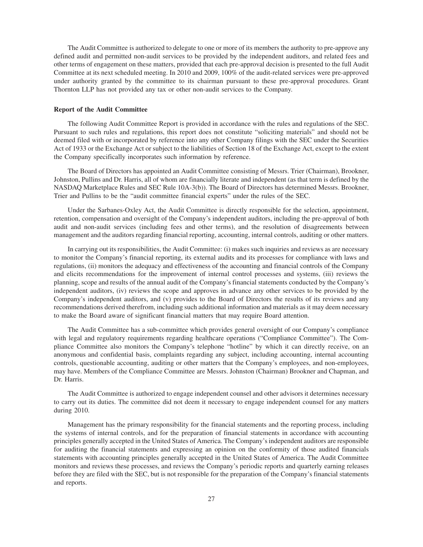The Audit Committee is authorized to delegate to one or more of its members the authority to pre-approve any defined audit and permitted non-audit services to be provided by the independent auditors, and related fees and other terms of engagement on these matters, provided that each pre-approval decision is presented to the full Audit Committee at its next scheduled meeting. In 2010 and 2009, 100% of the audit-related services were pre-approved under authority granted by the committee to its chairman pursuant to these pre-approval procedures. Grant Thornton LLP has not provided any tax or other non-audit services to the Company.

## **Report of the Audit Committee**

The following Audit Committee Report is provided in accordance with the rules and regulations of the SEC. Pursuant to such rules and regulations, this report does not constitute "soliciting materials" and should not be deemed filed with or incorporated by reference into any other Company filings with the SEC under the Securities Act of 1933 or the Exchange Act or subject to the liabilities of Section 18 of the Exchange Act, except to the extent the Company specifically incorporates such information by reference.

The Board of Directors has appointed an Audit Committee consisting of Messrs. Trier (Chairman), Brookner, Johnston, Pullins and Dr. Harris, all of whom are financially literate and independent (as that term is defined by the NASDAQ Marketplace Rules and SEC Rule 10A-3(b)). The Board of Directors has determined Messrs. Brookner, Trier and Pullins to be the "audit committee financial experts" under the rules of the SEC.

Under the Sarbanes-Oxley Act, the Audit Committee is directly responsible for the selection, appointment, retention, compensation and oversight of the Company's independent auditors, including the pre-approval of both audit and non-audit services (including fees and other terms), and the resolution of disagreements between management and the auditors regarding financial reporting, accounting, internal controls, auditing or other matters.

In carrying out its responsibilities, the Audit Committee: (i) makes such inquiries and reviews as are necessary to monitor the Company's financial reporting, its external audits and its processes for compliance with laws and regulations, (ii) monitors the adequacy and effectiveness of the accounting and financial controls of the Company and elicits recommendations for the improvement of internal control processes and systems, (iii) reviews the planning, scope and results of the annual audit of the Company's financial statements conducted by the Company's independent auditors, (iv) reviews the scope and approves in advance any other services to be provided by the Company's independent auditors, and (v) provides to the Board of Directors the results of its reviews and any recommendations derived therefrom, including such additional information and materials as it may deem necessary to make the Board aware of significant financial matters that may require Board attention.

The Audit Committee has a sub-committee which provides general oversight of our Company's compliance with legal and regulatory requirements regarding healthcare operations ("Compliance Committee"). The Compliance Committee also monitors the Company's telephone "hotline" by which it can directly receive, on an anonymous and confidential basis, complaints regarding any subject, including accounting, internal accounting controls, questionable accounting, auditing or other matters that the Company's employees, and non-employees, may have. Members of the Compliance Committee are Messrs. Johnston (Chairman) Brookner and Chapman, and Dr. Harris.

The Audit Committee is authorized to engage independent counsel and other advisors it determines necessary to carry out its duties. The committee did not deem it necessary to engage independent counsel for any matters during 2010.

Management has the primary responsibility for the financial statements and the reporting process, including the systems of internal controls, and for the preparation of financial statements in accordance with accounting principles generally accepted in the United States of America. The Company's independent auditors are responsible for auditing the financial statements and expressing an opinion on the conformity of those audited financials statements with accounting principles generally accepted in the United States of America. The Audit Committee monitors and reviews these processes, and reviews the Company's periodic reports and quarterly earning releases before they are filed with the SEC, but is not responsible for the preparation of the Company's financial statements and reports.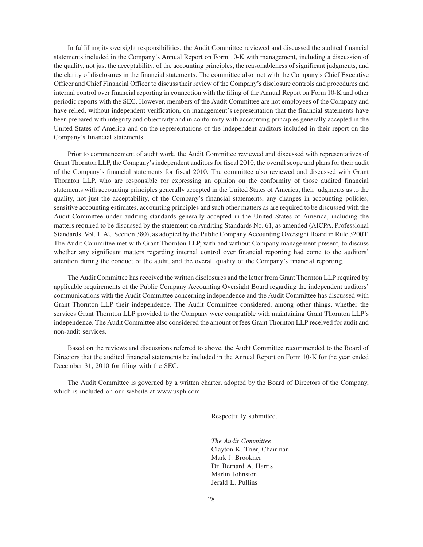In fulfilling its oversight responsibilities, the Audit Committee reviewed and discussed the audited financial statements included in the Company's Annual Report on Form 10-K with management, including a discussion of the quality, not just the acceptability, of the accounting principles, the reasonableness of significant judgments, and the clarity of disclosures in the financial statements. The committee also met with the Company's Chief Executive Officer and Chief Financial Officer to discuss their review of the Company's disclosure controls and procedures and internal control over financial reporting in connection with the filing of the Annual Report on Form 10-K and other periodic reports with the SEC. However, members of the Audit Committee are not employees of the Company and have relied, without independent verification, on management's representation that the financial statements have been prepared with integrity and objectivity and in conformity with accounting principles generally accepted in the United States of America and on the representations of the independent auditors included in their report on the Company's financial statements.

Prior to commencement of audit work, the Audit Committee reviewed and discussed with representatives of Grant Thornton LLP, the Company's independent auditors for fiscal 2010, the overall scope and plans for their audit of the Company's financial statements for fiscal 2010. The committee also reviewed and discussed with Grant Thornton LLP, who are responsible for expressing an opinion on the conformity of those audited financial statements with accounting principles generally accepted in the United States of America, their judgments as to the quality, not just the acceptability, of the Company's financial statements, any changes in accounting policies, sensitive accounting estimates, accounting principles and such other matters as are required to be discussed with the Audit Committee under auditing standards generally accepted in the United States of America, including the matters required to be discussed by the statement on Auditing Standards No. 61, as amended (AICPA, Professional Standards, Vol. 1. AU Section 380), as adopted by the Public Company Accounting Oversight Board in Rule 3200T. The Audit Committee met with Grant Thornton LLP, with and without Company management present, to discuss whether any significant matters regarding internal control over financial reporting had come to the auditors' attention during the conduct of the audit, and the overall quality of the Company's financial reporting.

The Audit Committee has received the written disclosures and the letter from Grant Thornton LLP required by applicable requirements of the Public Company Accounting Oversight Board regarding the independent auditors' communications with the Audit Committee concerning independence and the Audit Committee has discussed with Grant Thornton LLP their independence. The Audit Committee considered, among other things, whether the services Grant Thornton LLP provided to the Company were compatible with maintaining Grant Thornton LLP's independence. The Audit Committee also considered the amount of fees Grant Thornton LLP received for audit and non-audit services.

Based on the reviews and discussions referred to above, the Audit Committee recommended to the Board of Directors that the audited financial statements be included in the Annual Report on Form 10-K for the year ended December 31, 2010 for filing with the SEC.

The Audit Committee is governed by a written charter, adopted by the Board of Directors of the Company, which is included on our website at www.usph.com.

Respectfully submitted,

*The Audit Committee* Clayton K. Trier, Chairman Mark J. Brookner Dr. Bernard A. Harris Marlin Johnston Jerald L. Pullins